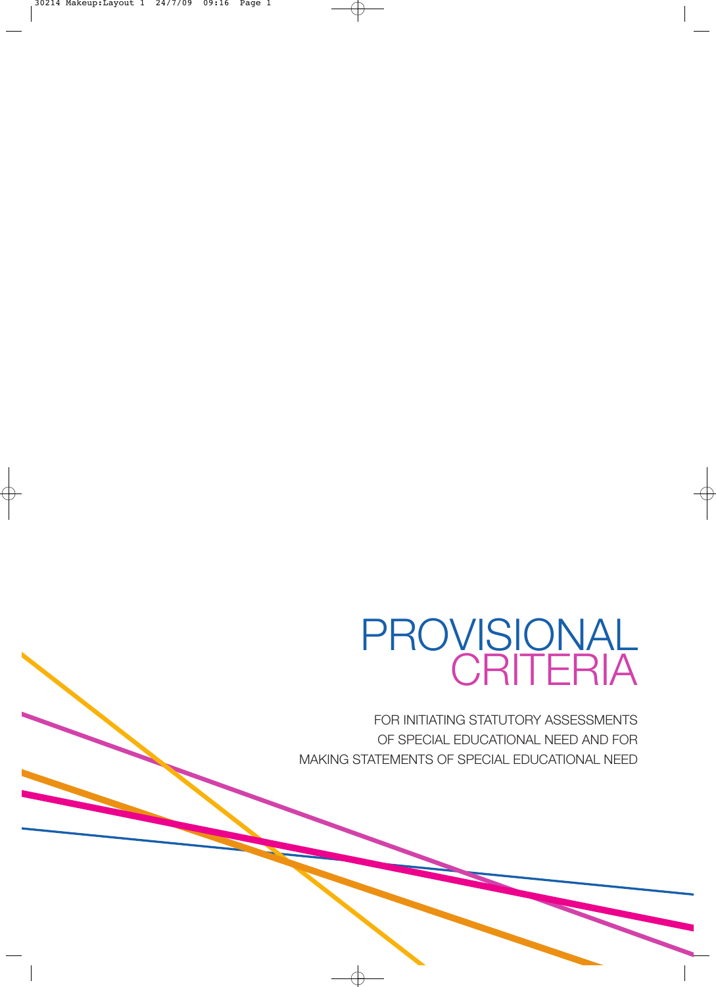# PROVISIONAL CRITERIA

FOR INITIATING STATUTORY ASSESSMENTS OF SPECIAL EDUCATIONAL NEED AND FOR MAKING STATEMENTS OF SPECIAL EDUCATIONAL NEED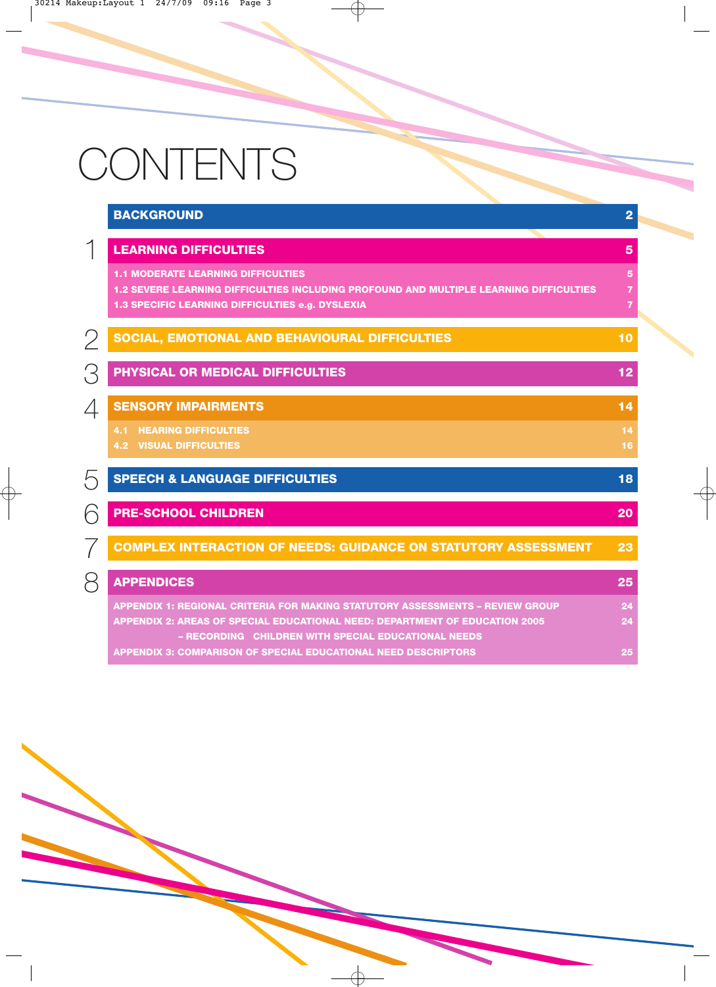# CONTENTS

|          | <b>BACKGROUND</b>                                                                                                                                                                                                          | $\overline{2}$                                     |
|----------|----------------------------------------------------------------------------------------------------------------------------------------------------------------------------------------------------------------------------|----------------------------------------------------|
|          | <b>LEARNING DIFFICULTIES</b>                                                                                                                                                                                               | 5                                                  |
|          | <b>1.1 MODERATE LEARNING DIFFICULTIES</b><br>1.2 SEVERE LEARNING DIFFICULTIES INCLUDING PROFOUND AND MULTIPLE LEARNING DIFFICULTIES<br>1.3 SPECIFIC LEARNING DIFFICULTIES e.g. DYSLEXIA                                    | $5\phantom{1}$<br>$\overline{7}$<br>$\overline{7}$ |
|          | SOCIAL, EMOTIONAL AND BEHAVIOURAL DIFFICULTIES                                                                                                                                                                             | 10                                                 |
|          | PHYSICAL OR MEDICAL DIFFICULTIES                                                                                                                                                                                           | 12                                                 |
| 4        | <b>SENSORY IMPAIRMENTS</b>                                                                                                                                                                                                 | 14                                                 |
|          | <b>4.1 HEARING DIFFICULTIES</b><br><b>4.2 VISUAL DIFFICULTIES</b>                                                                                                                                                          | 14<br>16                                           |
| わ        | <b>SPEECH &amp; LANGUAGE DIFFICULTIES</b>                                                                                                                                                                                  | 18                                                 |
| <b>C</b> | <b>PRE-SCHOOL CHILDREN</b>                                                                                                                                                                                                 | 20                                                 |
|          | <b>COMPLEX INTERACTION OF NEEDS: GUIDANCE ON STATUTORY ASSESSMENT</b>                                                                                                                                                      | 23                                                 |
| S        | <b>APPENDICES</b>                                                                                                                                                                                                          | 25                                                 |
|          | <b>APPENDIX 1: REGIONAL CRITERIA FOR MAKING STATUTORY ASSESSMENTS - REVIEW GROUP</b><br>APPENDIX 2: AREAS OF SPECIAL EDUCATIONAL NEED: DEPARTMENT OF EDUCATION 2005<br>- RECORDING CHILDREN WITH SPECIAL EDUCATIONAL NEEDS | 24<br>24                                           |
|          | <b>APPENDIX 3: COMPARISON OF SPECIAL EDUCATIONAL NEED DESCRIPTORS</b>                                                                                                                                                      | 25                                                 |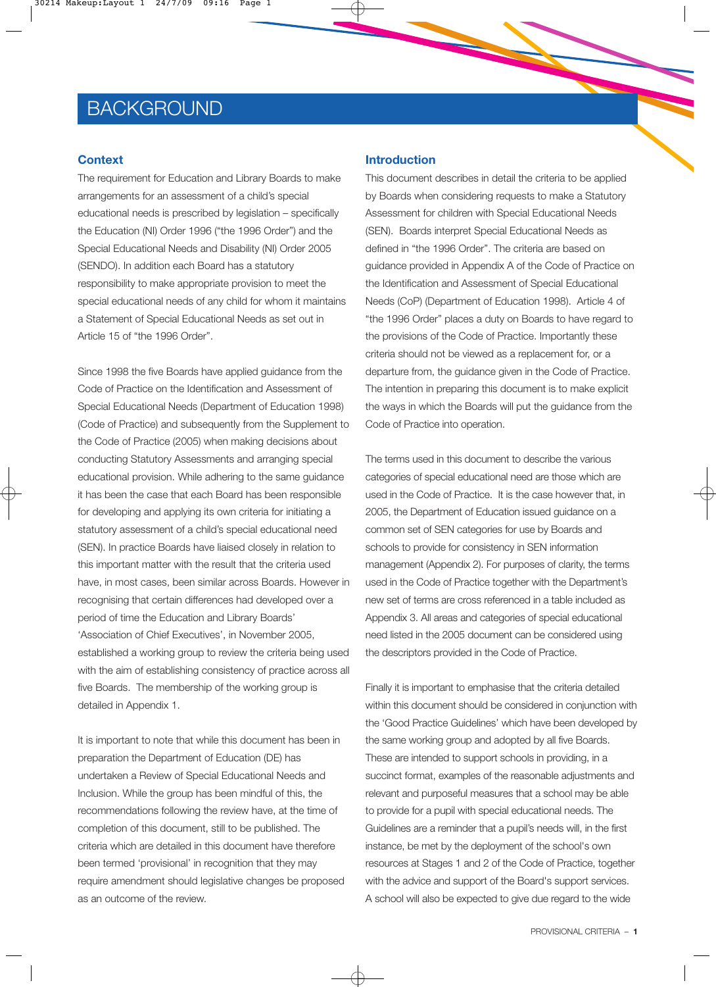## **BACKGROUND**

#### **Context**

The requirement for Education and Library Boards to make arrangements for an assessment of a child's special educational needs is prescribed by legislation – specifically the Education (NI) Order 1996 ("the 1996 Order") and the Special Educational Needs and Disability (NI) Order 2005 (SENDO). In addition each Board has a statutory responsibility to make appropriate provision to meet the special educational needs of any child for whom it maintains a Statement of Special Educational Needs as set out in Article 15 of "the 1996 Order".

Since 1998 the five Boards have applied guidance from the Code of Practice on the Identification and Assessment of Special Educational Needs (Department of Education 1998) (Code of Practice) and subsequently from the Supplement to the Code of Practice (2005) when making decisions about conducting Statutory Assessments and arranging special educational provision. While adhering to the same guidance it has been the case that each Board has been responsible for developing and applying its own criteria for initiating a statutory assessment of a child's special educational need (SEN). In practice Boards have liaised closely in relation to this important matter with the result that the criteria used have, in most cases, been similar across Boards. However in recognising that certain differences had developed over a period of time the Education and Library Boards' 'Association of Chief Executives', in November 2005, established a working group to review the criteria being used with the aim of establishing consistency of practice across all five Boards. The membership of the working group is detailed in Appendix 1.

It is important to note that while this document has been in preparation the Department of Education (DE) has undertaken a Review of Special Educational Needs and Inclusion. While the group has been mindful of this, the recommendations following the review have, at the time of completion of this document, still to be published. The criteria which are detailed in this document have therefore been termed 'provisional' in recognition that they may require amendment should legislative changes be proposed as an outcome of the review.

#### **Introduction**

This document describes in detail the criteria to be applied by Boards when considering requests to make a Statutory Assessment for children with Special Educational Needs (SEN). Boards interpret Special Educational Needs as defined in "the 1996 Order". The criteria are based on guidance provided in Appendix A of the Code of Practice on the Identification and Assessment of Special Educational Needs (CoP) (Department of Education 1998). Article 4 of "the 1996 Order" places a duty on Boards to have regard to the provisions of the Code of Practice. Importantly these criteria should not be viewed as a replacement for, or a departure from, the guidance given in the Code of Practice. The intention in preparing this document is to make explicit the ways in which the Boards will put the guidance from the Code of Practice into operation.

The terms used in this document to describe the various categories of special educational need are those which are used in the Code of Practice. It is the case however that, in 2005, the Department of Education issued guidance on a common set of SEN categories for use by Boards and schools to provide for consistency in SEN information management (Appendix 2). For purposes of clarity, the terms used in the Code of Practice together with the Department's new set of terms are cross referenced in a table included as Appendix 3. All areas and categories of special educational need listed in the 2005 document can be considered using the descriptors provided in the Code of Practice.

Finally it is important to emphasise that the criteria detailed within this document should be considered in conjunction with the 'Good Practice Guidelines' which have been developed by the same working group and adopted by all five Boards. These are intended to support schools in providing, in a succinct format, examples of the reasonable adjustments and relevant and purposeful measures that a school may be able to provide for a pupil with special educational needs. The Guidelines are a reminder that a pupil's needs will, in the first instance, be met by the deployment of the school's own resources at Stages 1 and 2 of the Code of Practice, together with the advice and support of the Board's support services. A school will also be expected to give due regard to the wide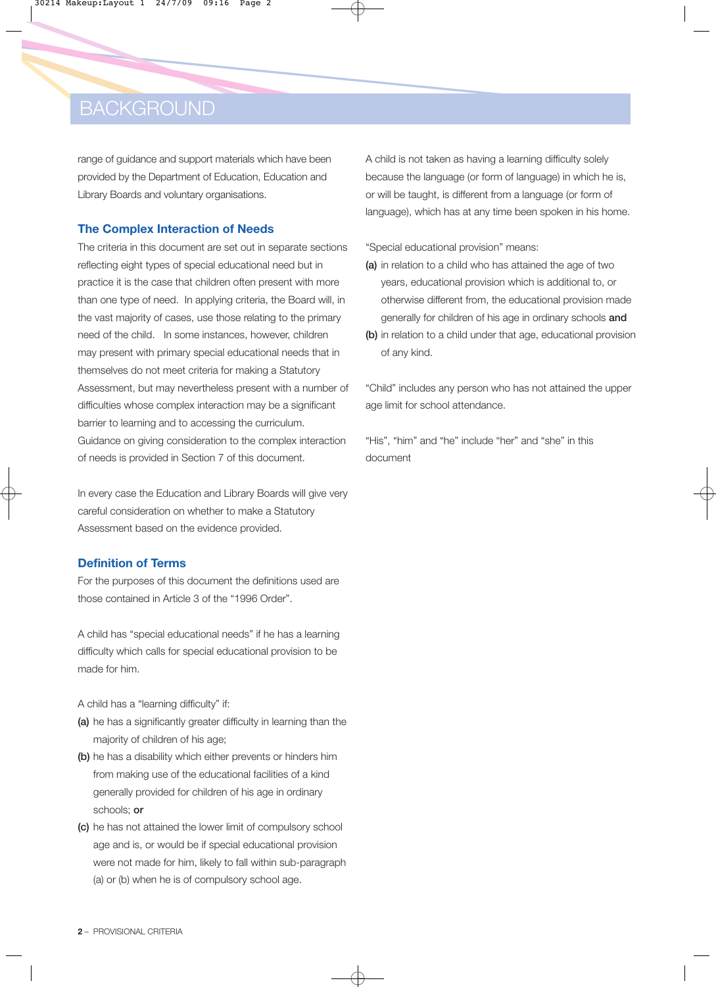## **BACKGROUND**

range of guidance and support materials which have been provided by the Department of Education, Education and Library Boards and voluntary organisations.

#### **The Complex Interaction of Needs**

The criteria in this document are set out in separate sections reflecting eight types of special educational need but in practice it is the case that children often present with more than one type of need. In applying criteria, the Board will, in the vast majority of cases, use those relating to the primary need of the child. In some instances, however, children may present with primary special educational needs that in themselves do not meet criteria for making a Statutory Assessment, but may nevertheless present with a number of difficulties whose complex interaction may be a significant barrier to learning and to accessing the curriculum. Guidance on giving consideration to the complex interaction of needs is provided in Section 7 of this document.

In every case the Education and Library Boards will give very careful consideration on whether to make a Statutory Assessment based on the evidence provided.

#### **Definition of Terms**

For the purposes of this document the definitions used are those contained in Article 3 of the "1996 Order".

A child has "special educational needs" if he has a learning difficulty which calls for special educational provision to be made for him.

A child has a "learning difficulty" if:

- (a) he has a significantly greater difficulty in learning than the majority of children of his age;
- (b) he has a disability which either prevents or hinders him from making use of the educational facilities of a kind generally provided for children of his age in ordinary schools; or
- (c) he has not attained the lower limit of compulsory school age and is, or would be if special educational provision were not made for him, likely to fall within sub-paragraph (a) or (b) when he is of compulsory school age.

A child is not taken as having a learning difficulty solely because the language (or form of language) in which he is, or will be taught, is different from a language (or form of language), which has at any time been spoken in his home.

"Special educational provision" means:

- (a) in relation to a child who has attained the age of two years, educational provision which is additional to, or otherwise different from, the educational provision made generally for children of his age in ordinary schools and
- (b) in relation to a child under that age, educational provision of any kind.

"Child" includes any person who has not attained the upper age limit for school attendance.

"His", "him" and "he" include "her" and "she" in this document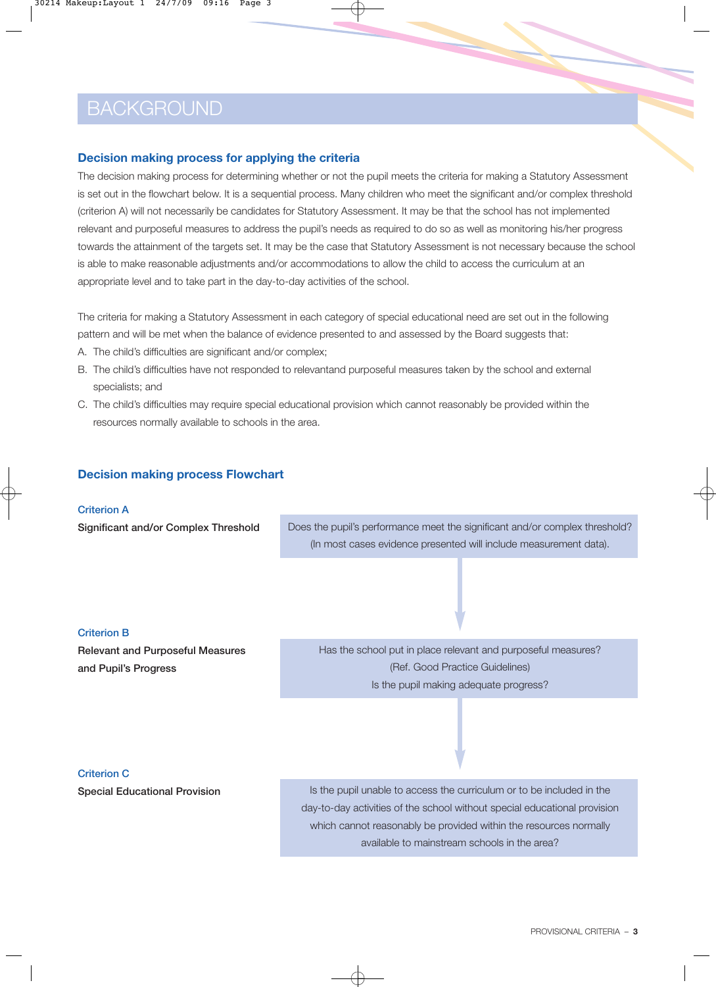## **BACKGROUND**

### **Decision making process for applying the criteria**

The decision making process for determining whether or not the pupil meets the criteria for making a Statutory Assessment is set out in the flowchart below. It is a sequential process. Many children who meet the significant and/or complex threshold (criterion A) will not necessarily be candidates for Statutory Assessment. It may be that the school has not implemented relevant and purposeful measures to address the pupil's needs as required to do so as well as monitoring his/her progress towards the attainment of the targets set. It may be the case that Statutory Assessment is not necessary because the school is able to make reasonable adjustments and/or accommodations to allow the child to access the curriculum at an appropriate level and to take part in the day-to-day activities of the school.

The criteria for making a Statutory Assessment in each category of special educational need are set out in the following pattern and will be met when the balance of evidence presented to and assessed by the Board suggests that:

- A. The child's difficulties are significant and/or complex;
- B. The child's difficulties have not responded to relevantand purposeful measures taken by the school and external specialists; and
- C. The child's difficulties may require special educational provision which cannot reasonably be provided within the resources normally available to schools in the area.

### **Decision making process Flowchart**

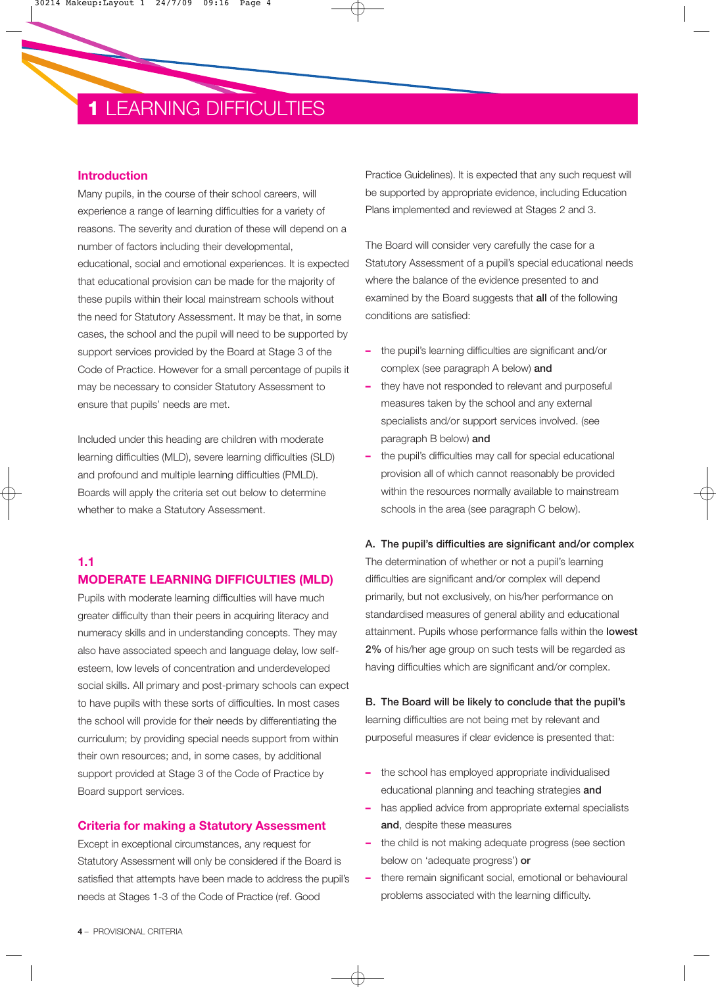## **1** LEARNING DIFFICULTIES

#### **Introduction**

Many pupils, in the course of their school careers, will experience a range of learning difficulties for a variety of reasons. The severity and duration of these will depend on a number of factors including their developmental, educational, social and emotional experiences. It is expected that educational provision can be made for the majority of these pupils within their local mainstream schools without the need for Statutory Assessment. It may be that, in some cases, the school and the pupil will need to be supported by support services provided by the Board at Stage 3 of the Code of Practice. However for a small percentage of pupils it may be necessary to consider Statutory Assessment to ensure that pupils' needs are met.

Included under this heading are children with moderate learning difficulties (MLD), severe learning difficulties (SLD) and profound and multiple learning difficulties (PMLD). Boards will apply the criteria set out below to determine whether to make a Statutory Assessment.

### **1.1**

#### **MODERATE LEARNING DIFFICULTIES (MLD)**

Pupils with moderate learning difficulties will have much greater difficulty than their peers in acquiring literacy and numeracy skills and in understanding concepts. They may also have associated speech and language delay, low selfesteem, low levels of concentration and underdeveloped social skills. All primary and post-primary schools can expect to have pupils with these sorts of difficulties. In most cases the school will provide for their needs by differentiating the curriculum; by providing special needs support from within their own resources; and, in some cases, by additional support provided at Stage 3 of the Code of Practice by Board support services.

#### **Criteria for making a Statutory Assessment**

Except in exceptional circumstances, any request for Statutory Assessment will only be considered if the Board is satisfied that attempts have been made to address the pupil's needs at Stages 1-3 of the Code of Practice (ref. Good

Practice Guidelines). It is expected that any such request will be supported by appropriate evidence, including Education Plans implemented and reviewed at Stages 2 and 3.

The Board will consider very carefully the case for a Statutory Assessment of a pupil's special educational needs where the balance of the evidence presented to and examined by the Board suggests that all of the following conditions are satisfied:

- **–** the pupil's learning difficulties are significant and/or complex (see paragraph A below) and
- **–** they have not responded to relevant and purposeful measures taken by the school and any external specialists and/or support services involved. (see paragraph B below) and
- **–** the pupil's difficulties may call for special educational provision all of which cannot reasonably be provided within the resources normally available to mainstream schools in the area (see paragraph C below).

#### A. The pupil's difficulties are significant and/or complex

The determination of whether or not a pupil's learning difficulties are significant and/or complex will depend primarily, but not exclusively, on his/her performance on standardised measures of general ability and educational attainment. Pupils whose performance falls within the lowest 2% of his/her age group on such tests will be regarded as having difficulties which are significant and/or complex.

B. The Board will be likely to conclude that the pupil's learning difficulties are not being met by relevant and purposeful measures if clear evidence is presented that:

- **–** the school has employed appropriate individualised educational planning and teaching strategies and
- **–** has applied advice from appropriate external specialists and, despite these measures
- **–** the child is not making adequate progress (see section below on 'adequate progress') or
- **–** there remain significant social, emotional or behavioural problems associated with the learning difficulty.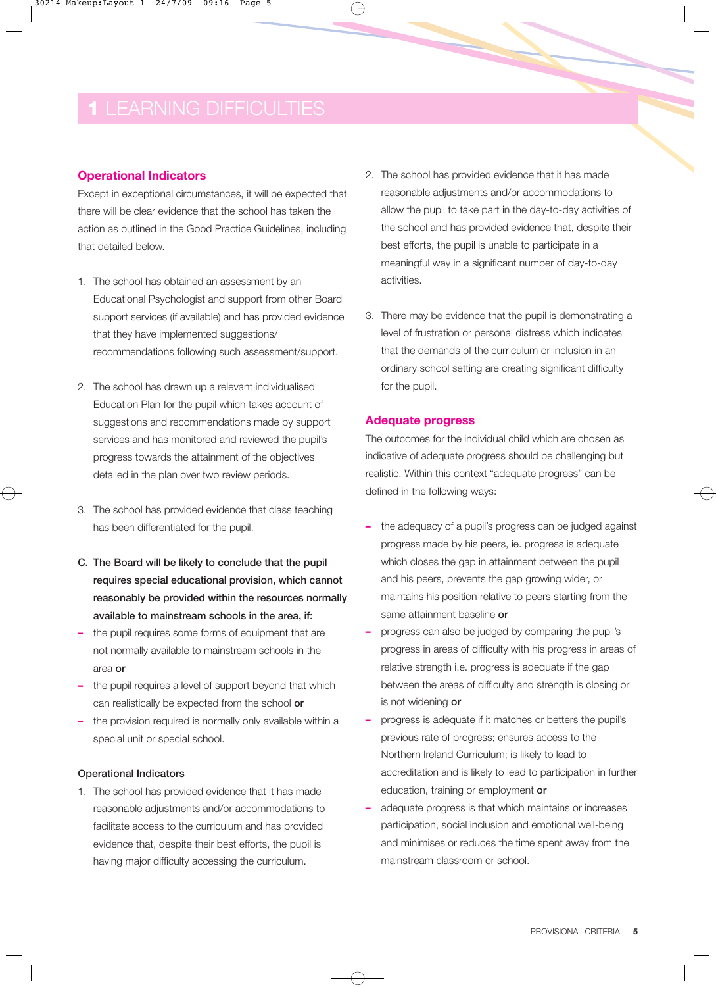### **Operational Indicators**

Except in exceptional circumstances, it will be expected that there will be clear evidence that the school has taken the action as outlined in the Good Practice Guidelines, including that detailed below.

- 1. The school has obtained an assessment by an Educational Psychologist and support from other Board support services (if available) and has provided evidence that they have implemented suggestions/ recommendations following such assessment/support.
- 2. The school has drawn up a relevant individualised Education Plan for the pupil which takes account of suggestions and recommendations made by support services and has monitored and reviewed the pupil's progress towards the attainment of the objectives detailed in the plan over two review periods.
- 3. The school has provided evidence that class teaching has been differentiated for the pupil.
- C. The Board will be likely to conclude that the pupil requires special educational provision, which cannot reasonably be provided within the resources normally available to mainstream schools in the area, if:
- **–** the pupil requires some forms of equipment that are not normally available to mainstream schools in the area or
- **–** the pupil requires a level of support beyond that which can realistically be expected from the school or
- **–** the provision required is normally only available within a special unit or special school.

#### Operational Indicators

1. The school has provided evidence that it has made reasonable adjustments and/or accommodations to facilitate access to the curriculum and has provided evidence that, despite their best efforts, the pupil is having major difficulty accessing the curriculum.

- 2. The school has provided evidence that it has made reasonable adjustments and/or accommodations to allow the pupil to take part in the day-to-day activities of the school and has provided evidence that, despite their best efforts, the pupil is unable to participate in a meaningful way in a significant number of day-to-day activities.
- 3. There may be evidence that the pupil is demonstrating a level of frustration or personal distress which indicates that the demands of the curriculum or inclusion in an ordinary school setting are creating significant difficulty for the pupil.

#### **Adequate progress**

The outcomes for the individual child which are chosen as indicative of adequate progress should be challenging but realistic. Within this context "adequate progress" can be defined in the following ways:

- **–** the adequacy of a pupil's progress can be judged against progress made by his peers, ie. progress is adequate which closes the gap in attainment between the pupil and his peers, prevents the gap growing wider, or maintains his position relative to peers starting from the same attainment baseline or
- **–** progress can also be judged by comparing the pupil's progress in areas of difficulty with his progress in areas of relative strength i.e. progress is adequate if the gap between the areas of difficulty and strength is closing or is not widening or
- **–** progress is adequate if it matches or betters the pupil's previous rate of progress; ensures access to the Northern Ireland Curriculum; is likely to lead to accreditation and is likely to lead to participation in further education, training or employment or
- **–** adequate progress is that which maintains or increases participation, social inclusion and emotional well-being and minimises or reduces the time spent away from the mainstream classroom or school.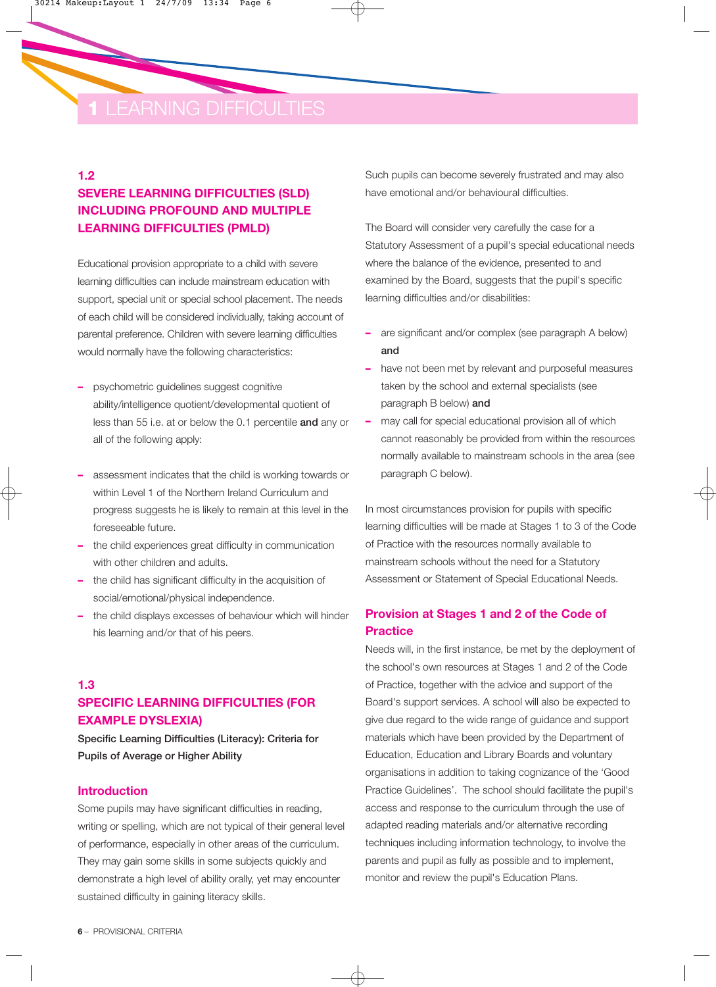#### **1.2**

### **SEVERE LEARNING DIFFICULTIES (SLD) INCLUDING PROFOUND AND MULTIPLE LEARNING DIFFICULTIES (PMLD)**

Educational provision appropriate to a child with severe learning difficulties can include mainstream education with support, special unit or special school placement. The needs of each child will be considered individually, taking account of parental preference. Children with severe learning difficulties would normally have the following characteristics:

- **–** psychometric guidelines suggest cognitive ability/intelligence quotient/developmental quotient of less than 55 i.e. at or below the 0.1 percentile and any or all of the following apply:
- **–** assessment indicates that the child is working towards or within Level 1 of the Northern Ireland Curriculum and progress suggests he is likely to remain at this level in the foreseeable future.
- **–** the child experiences great difficulty in communication with other children and adults.
- **–** the child has significant difficulty in the acquisition of social/emotional/physical independence.
- **–** the child displays excesses of behaviour which will hinder his learning and/or that of his peers.

### **1.3 SPECIFIC LEARNING DIFFICULTIES (FOR EXAMPLE DYSLEXIA)**

Specific Learning Difficulties (Literacy): Criteria for Pupils of Average or Higher Ability

#### **Introduction**

Some pupils may have significant difficulties in reading, writing or spelling, which are not typical of their general level of performance, especially in other areas of the curriculum. They may gain some skills in some subjects quickly and demonstrate a high level of ability orally, yet may encounter sustained difficulty in gaining literacy skills.

Such pupils can become severely frustrated and may also have emotional and/or behavioural difficulties.

The Board will consider very carefully the case for a Statutory Assessment of a pupil's special educational needs where the balance of the evidence, presented to and examined by the Board, suggests that the pupil's specific learning difficulties and/or disabilities:

- **–** are significant and/or complex (see paragraph A below) and
- **–** have not been met by relevant and purposeful measures taken by the school and external specialists (see paragraph B below) and
- **–** may call for special educational provision all of which cannot reasonably be provided from within the resources normally available to mainstream schools in the area (see paragraph C below).

In most circumstances provision for pupils with specific learning difficulties will be made at Stages 1 to 3 of the Code of Practice with the resources normally available to mainstream schools without the need for a Statutory Assessment or Statement of Special Educational Needs.

### **Provision at Stages 1 and 2 of the Code of Practice**

Needs will, in the first instance, be met by the deployment of the school's own resources at Stages 1 and 2 of the Code of Practice, together with the advice and support of the Board's support services. A school will also be expected to give due regard to the wide range of guidance and support materials which have been provided by the Department of Education, Education and Library Boards and voluntary organisations in addition to taking cognizance of the 'Good Practice Guidelines'. The school should facilitate the pupil's access and response to the curriculum through the use of adapted reading materials and/or alternative recording techniques including information technology, to involve the parents and pupil as fully as possible and to implement, monitor and review the pupil's Education Plans.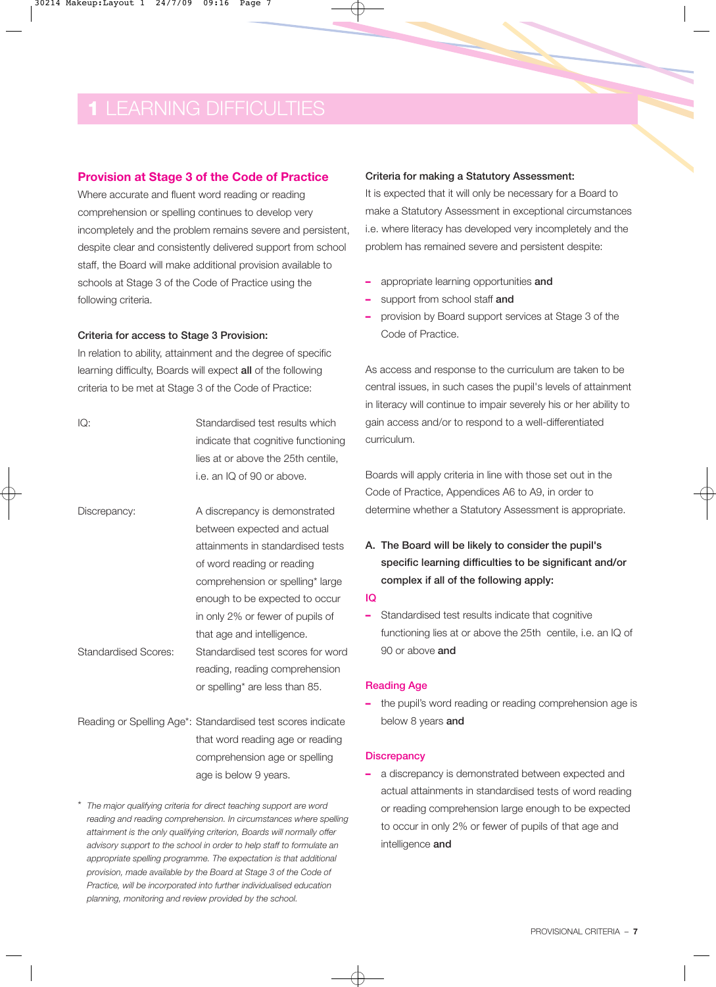#### **Provision at Stage 3 of the Code of Practice**

Where accurate and fluent word reading or reading comprehension or spelling continues to develop very incompletely and the problem remains severe and persistent, despite clear and consistently delivered support from school staff, the Board will make additional provision available to schools at Stage 3 of the Code of Practice using the following criteria.

#### Criteria for access to Stage 3 Provision:

In relation to ability, attainment and the degree of specific learning difficulty, Boards will expect all of the following criteria to be met at Stage 3 of the Code of Practice:

- IQ: Standardised test results which indicate that cognitive functioning lies at or above the 25th centile, i.e. an IQ of 90 or above. Discrepancy: A discrepancy is demonstrated between expected and actual attainments in standardised tests of word reading or reading comprehension or spelling\* large enough to be expected to occur in only 2% or fewer of pupils of that age and intelligence. Standardised Scores: Standardised test scores for word reading, reading comprehension or spelling\* are less than 85.
- Reading or Spelling Age\*: Standardised test scores indicate that word reading age or reading comprehension age or spelling age is below 9 years.
- \* *The major qualifying criteria for direct teaching support are word reading and reading comprehension. In circumstances where spelling attainment is the only qualifying criterion, Boards will normally offer advisory support to the school in order to help staff to formulate an appropriate spelling programme. The expectation is that additional provision, made available by the Board at Stage 3 of the Code of Practice, will be incorporated into further individualised education planning, monitoring and review provided by the school.*

#### Criteria for making a Statutory Assessment:

It is expected that it will only be necessary for a Board to make a Statutory Assessment in exceptional circumstances i.e. where literacy has developed very incompletely and the problem has remained severe and persistent despite:

- **–** appropriate learning opportunities and
- **–** support from school staff and
- **–** provision by Board support services at Stage 3 of the Code of Practice.

As access and response to the curriculum are taken to be central issues, in such cases the pupil's levels of attainment in literacy will continue to impair severely his or her ability to gain access and/or to respond to a well-differentiated curriculum.

Boards will apply criteria in line with those set out in the Code of Practice, Appendices A6 to A9, in order to determine whether a Statutory Assessment is appropriate.

A. The Board will be likely to consider the pupil's specific learning difficulties to be significant and/or complex if all of the following apply:

#### IQ

**–** Standardised test results indicate that cognitive functioning lies at or above the 25th centile, i.e. an IQ of 90 or above and

#### Reading Age

**–** the pupil's word reading or reading comprehension age is below 8 years and

#### **Discrepancy**

**–** a discrepancy is demonstrated between expected and actual attainments in standardised tests of word reading or reading comprehension large enough to be expected to occur in only 2% or fewer of pupils of that age and intelligence and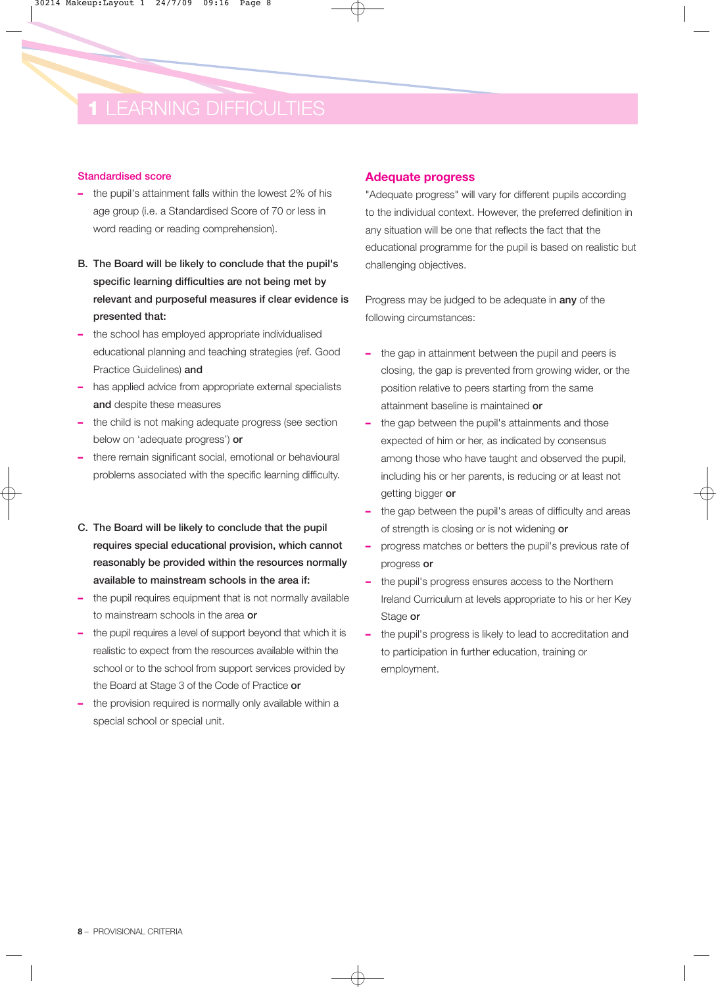#### Standardised score

- **–** the pupil's attainment falls within the lowest 2% of his age group (i.e. a Standardised Score of 70 or less in word reading or reading comprehension).
- B. The Board will be likely to conclude that the pupil's specific learning difficulties are not being met by relevant and purposeful measures if clear evidence is presented that:
- **–** the school has employed appropriate individualised educational planning and teaching strategies (ref. Good Practice Guidelines) and
- **–** has applied advice from appropriate external specialists and despite these measures
- **–** the child is not making adequate progress (see section below on 'adequate progress') or
- **–** there remain significant social, emotional or behavioural problems associated with the specific learning difficulty.
- C. The Board will be likely to conclude that the pupil requires special educational provision, which cannot reasonably be provided within the resources normally available to mainstream schools in the area if:
- **–** the pupil requires equipment that is not normally available to mainstream schools in the area or
- **–** the pupil requires a level of support beyond that which it is realistic to expect from the resources available within the school or to the school from support services provided by the Board at Stage 3 of the Code of Practice or
- **–** the provision required is normally only available within a special school or special unit.

#### **Adequate progress**

"Adequate progress" will vary for different pupils according to the individual context. However, the preferred definition in any situation will be one that reflects the fact that the educational programme for the pupil is based on realistic but challenging objectives.

Progress may be judged to be adequate in any of the following circumstances:

- **–** the gap in attainment between the pupil and peers is closing, the gap is prevented from growing wider, or the position relative to peers starting from the same attainment baseline is maintained or
- **–** the gap between the pupil's attainments and those expected of him or her, as indicated by consensus among those who have taught and observed the pupil, including his or her parents, is reducing or at least not getting bigger or
- **–** the gap between the pupil's areas of difficulty and areas of strength is closing or is not widening or
- **–** progress matches or betters the pupil's previous rate of progress or
- **–** the pupil's progress ensures access to the Northern Ireland Curriculum at levels appropriate to his or her Key Stage or
- **–** the pupil's progress is likely to lead to accreditation and to participation in further education, training or employment.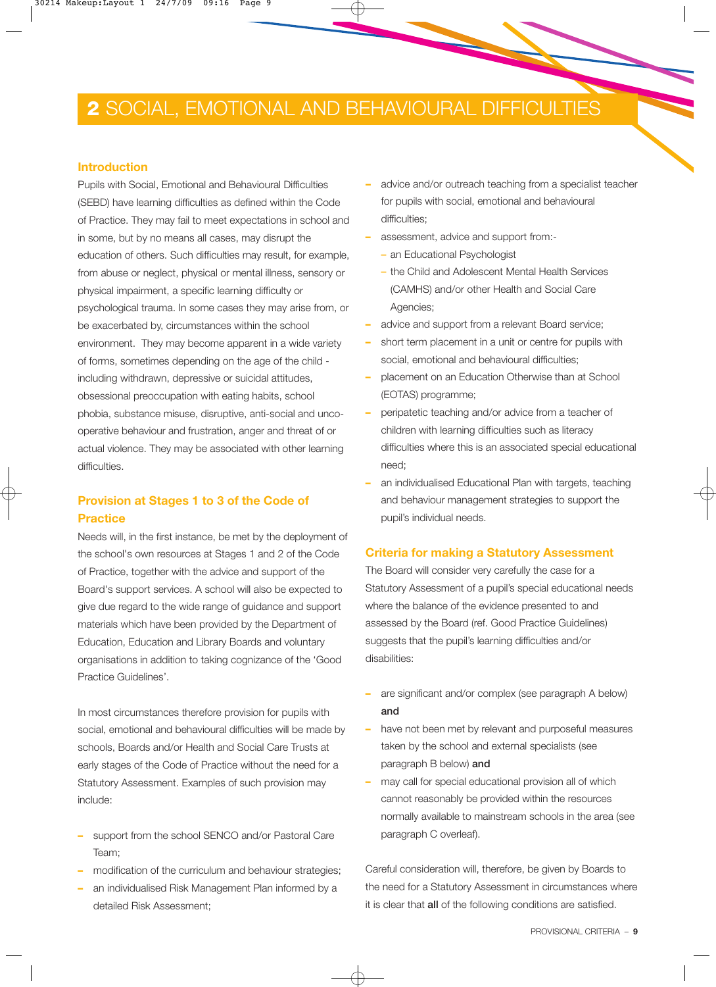## **2** SOCIAL, EMOTIONAL AND BEHAVIOURAL DIFFICULTIES

#### **Introduction**

Pupils with Social, Emotional and Behavioural Difficulties (SEBD) have learning difficulties as defined within the Code of Practice. They may fail to meet expectations in school and in some, but by no means all cases, may disrupt the education of others. Such difficulties may result, for example, from abuse or neglect, physical or mental illness, sensory or physical impairment, a specific learning difficulty or psychological trauma. In some cases they may arise from, or be exacerbated by, circumstances within the school environment. They may become apparent in a wide variety of forms, sometimes depending on the age of the child including withdrawn, depressive or suicidal attitudes, obsessional preoccupation with eating habits, school phobia, substance misuse, disruptive, anti-social and uncooperative behaviour and frustration, anger and threat of or actual violence. They may be associated with other learning difficulties.

### **Provision at Stages 1 to 3 of the Code of Practice**

Needs will, in the first instance, be met by the deployment of the school's own resources at Stages 1 and 2 of the Code of Practice, together with the advice and support of the Board's support services. A school will also be expected to give due regard to the wide range of guidance and support materials which have been provided by the Department of Education, Education and Library Boards and voluntary organisations in addition to taking cognizance of the 'Good Practice Guidelines'.

In most circumstances therefore provision for pupils with social, emotional and behavioural difficulties will be made by schools, Boards and/or Health and Social Care Trusts at early stages of the Code of Practice without the need for a Statutory Assessment. Examples of such provision may include:

- **–** support from the school SENCO and/or Pastoral Care Team;
- **–** modification of the curriculum and behaviour strategies;
- **–** an individualised Risk Management Plan informed by a detailed Risk Assessment;
- **–** advice and/or outreach teaching from a specialist teacher for pupils with social, emotional and behavioural difficulties;
- **–** assessment, advice and support from:-
	- **–** an Educational Psychologist
	- **–** the Child and Adolescent Mental Health Services (CAMHS) and/or other Health and Social Care Agencies;
- **–** advice and support from a relevant Board service;
- **–** short term placement in a unit or centre for pupils with social, emotional and behavioural difficulties;
- **–** placement on an Education Otherwise than at School (EOTAS) programme;
- **–** peripatetic teaching and/or advice from a teacher of children with learning difficulties such as literacy difficulties where this is an associated special educational need;
- **–** an individualised Educational Plan with targets, teaching and behaviour management strategies to support the pupil's individual needs.

#### **Criteria for making a Statutory Assessment**

The Board will consider very carefully the case for a Statutory Assessment of a pupil's special educational needs where the balance of the evidence presented to and assessed by the Board (ref. Good Practice Guidelines) suggests that the pupil's learning difficulties and/or disabilities:

- **–** are significant and/or complex (see paragraph A below) and
- **–** have not been met by relevant and purposeful measures taken by the school and external specialists (see paragraph B below) and
- **–** may call for special educational provision all of which cannot reasonably be provided within the resources normally available to mainstream schools in the area (see paragraph C overleaf).

Careful consideration will, therefore, be given by Boards to the need for a Statutory Assessment in circumstances where it is clear that **all** of the following conditions are satisfied.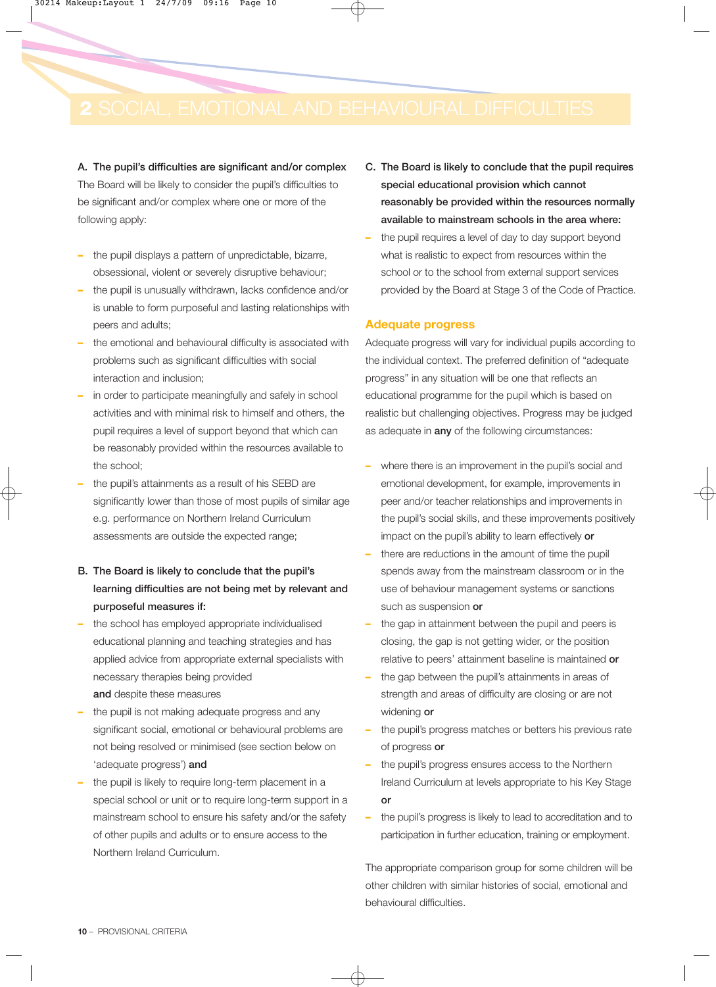A. The pupil's difficulties are significant and/or complex The Board will be likely to consider the pupil's difficulties to be significant and/or complex where one or more of the following apply:

- **–** the pupil displays a pattern of unpredictable, bizarre, obsessional, violent or severely disruptive behaviour;
- **–** the pupil is unusually withdrawn, lacks confidence and/or is unable to form purposeful and lasting relationships with peers and adults;
- **–** the emotional and behavioural difficulty is associated with problems such as significant difficulties with social interaction and inclusion;
- **–** in order to participate meaningfully and safely in school activities and with minimal risk to himself and others, the pupil requires a level of support beyond that which can be reasonably provided within the resources available to the school;
- **–** the pupil's attainments as a result of his SEBD are significantly lower than those of most pupils of similar age e.g. performance on Northern Ireland Curriculum assessments are outside the expected range;
- B. The Board is likely to conclude that the pupil's learning difficulties are not being met by relevant and purposeful measures if:
- **–** the school has employed appropriate individualised educational planning and teaching strategies and has applied advice from appropriate external specialists with necessary therapies being provided and despite these measures
- **–** the pupil is not making adequate progress and any significant social, emotional or behavioural problems are not being resolved or minimised (see section below on 'adequate progress') and
- **–** the pupil is likely to require long-term placement in a special school or unit or to require long-term support in a mainstream school to ensure his safety and/or the safety of other pupils and adults or to ensure access to the Northern Ireland Curriculum.
- C. The Board is likely to conclude that the pupil requires special educational provision which cannot reasonably be provided within the resources normally available to mainstream schools in the area where:
- **–** the pupil requires a level of day to day support beyond what is realistic to expect from resources within the school or to the school from external support services provided by the Board at Stage 3 of the Code of Practice.

#### **Adequate progress**

Adequate progress will vary for individual pupils according to the individual context. The preferred definition of "adequate progress" in any situation will be one that reflects an educational programme for the pupil which is based on realistic but challenging objectives. Progress may be judged as adequate in any of the following circumstances:

- **–** where there is an improvement in the pupil's social and emotional development, for example, improvements in peer and/or teacher relationships and improvements in the pupil's social skills, and these improvements positively impact on the pupil's ability to learn effectively or
- **–** there are reductions in the amount of time the pupil spends away from the mainstream classroom or in the use of behaviour management systems or sanctions such as suspension or
- **–** the gap in attainment between the pupil and peers is closing, the gap is not getting wider, or the position relative to peers' attainment baseline is maintained or
- **–** the gap between the pupil's attainments in areas of strength and areas of difficulty are closing or are not widening or
- **–** the pupil's progress matches or betters his previous rate of progress or
- **–** the pupil's progress ensures access to the Northern Ireland Curriculum at levels appropriate to his Key Stage or
- **–** the pupil's progress is likely to lead to accreditation and to participation in further education, training or employment.

The appropriate comparison group for some children will be other children with similar histories of social, emotional and behavioural difficulties.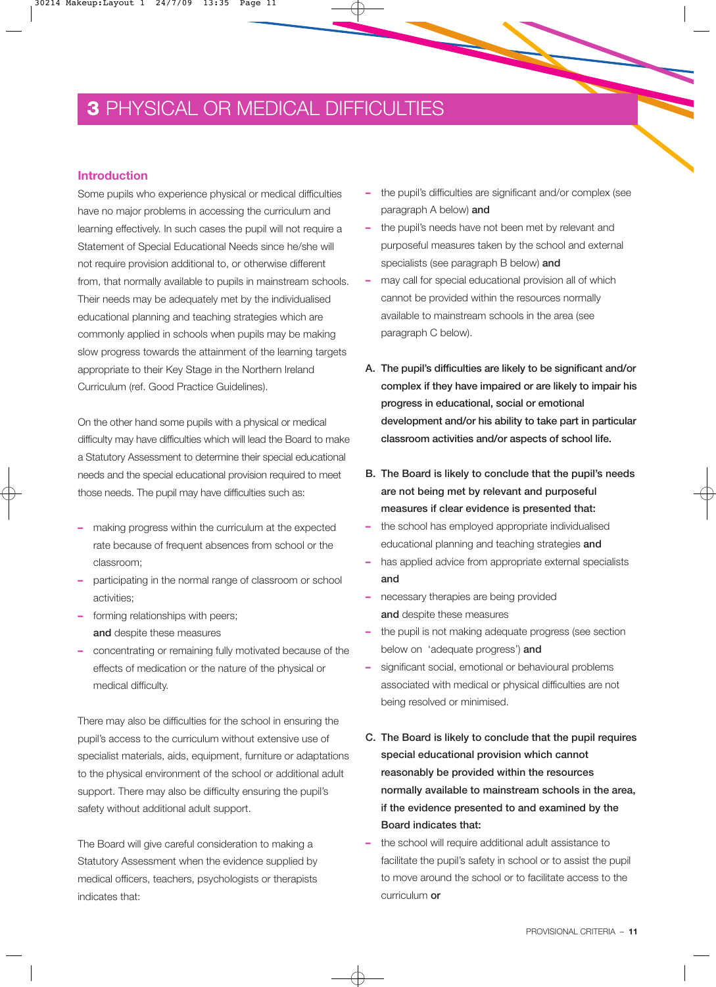## **3** PHYSICAL OR MEDICAL DIFFICULTIES

#### **Introduction**

Some pupils who experience physical or medical difficulties have no major problems in accessing the curriculum and learning effectively. In such cases the pupil will not require a Statement of Special Educational Needs since he/she will not require provision additional to, or otherwise different from, that normally available to pupils in mainstream schools. Their needs may be adequately met by the individualised educational planning and teaching strategies which are commonly applied in schools when pupils may be making slow progress towards the attainment of the learning targets appropriate to their Key Stage in the Northern Ireland Curriculum (ref. Good Practice Guidelines).

On the other hand some pupils with a physical or medical difficulty may have difficulties which will lead the Board to make a Statutory Assessment to determine their special educational needs and the special educational provision required to meet those needs. The pupil may have difficulties such as:

- **–** making progress within the curriculum at the expected rate because of frequent absences from school or the classroom;
- **–** participating in the normal range of classroom or school activities;
- **–** forming relationships with peers; and despite these measures
- **–** concentrating or remaining fully motivated because of the effects of medication or the nature of the physical or medical difficulty.

There may also be difficulties for the school in ensuring the pupil's access to the curriculum without extensive use of specialist materials, aids, equipment, furniture or adaptations to the physical environment of the school or additional adult support. There may also be difficulty ensuring the pupil's safety without additional adult support.

The Board will give careful consideration to making a Statutory Assessment when the evidence supplied by medical officers, teachers, psychologists or therapists indicates that:

- **–** the pupil's difficulties are significant and/or complex (see paragraph A below) and
- **–** the pupil's needs have not been met by relevant and purposeful measures taken by the school and external specialists (see paragraph B below) and
- **–** may call for special educational provision all of which cannot be provided within the resources normally available to mainstream schools in the area (see paragraph C below).
- A. The pupil's difficulties are likely to be significant and/or complex if they have impaired or are likely to impair his progress in educational, social or emotional development and/or his ability to take part in particular classroom activities and/or aspects of school life.
- B. The Board is likely to conclude that the pupil's needs are not being met by relevant and purposeful measures if clear evidence is presented that:
- **–** the school has employed appropriate individualised educational planning and teaching strategies and
- **–** has applied advice from appropriate external specialists and
- **–** necessary therapies are being provided and despite these measures
- **–** the pupil is not making adequate progress (see section below on 'adequate progress') and
- **–** significant social, emotional or behavioural problems associated with medical or physical difficulties are not being resolved or minimised.
- C. The Board is likely to conclude that the pupil requires special educational provision which cannot reasonably be provided within the resources normally available to mainstream schools in the area, if the evidence presented to and examined by the Board indicates that:
- **–** the school will require additional adult assistance to facilitate the pupil's safety in school or to assist the pupil to move around the school or to facilitate access to the curriculum or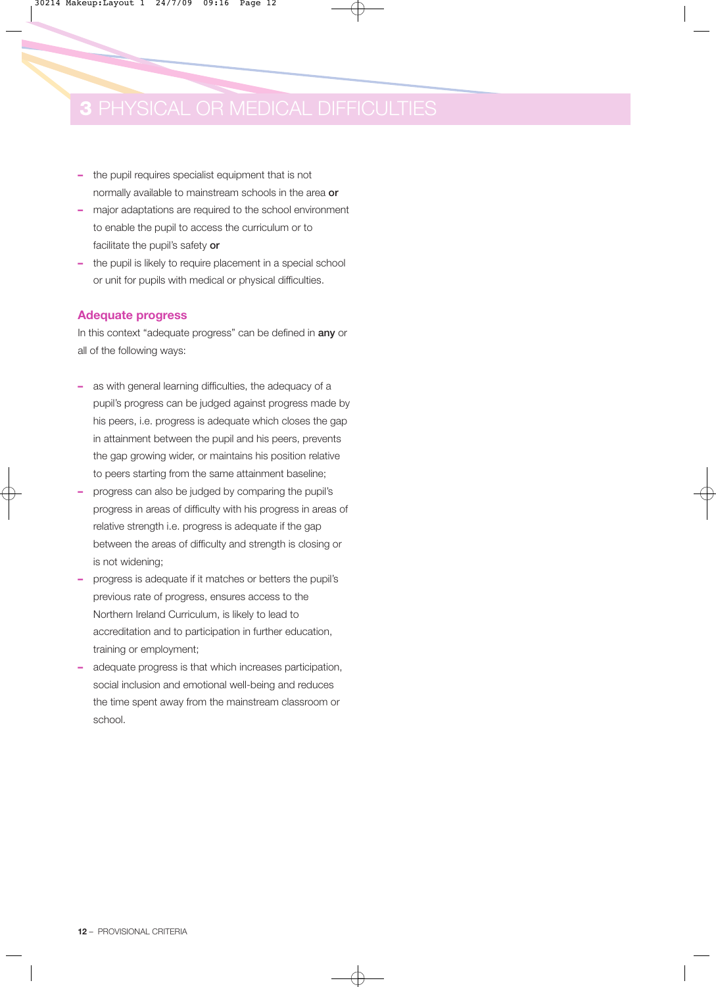- **–** the pupil requires specialist equipment that is not normally available to mainstream schools in the area or
- **–** major adaptations are required to the school environment to enable the pupil to access the curriculum or to facilitate the pupil's safety or
- **–** the pupil is likely to require placement in a special school or unit for pupils with medical or physical difficulties.

#### **Adequate progress**

In this context "adequate progress" can be defined in any or all of the following ways:

- **–** as with general learning difficulties, the adequacy of a pupil's progress can be judged against progress made by his peers, i.e. progress is adequate which closes the gap in attainment between the pupil and his peers, prevents the gap growing wider, or maintains his position relative to peers starting from the same attainment baseline;
- **–** progress can also be judged by comparing the pupil's progress in areas of difficulty with his progress in areas of relative strength i.e. progress is adequate if the gap between the areas of difficulty and strength is closing or is not widening;
- **–** progress is adequate if it matches or betters the pupil's previous rate of progress, ensures access to the Northern Ireland Curriculum, is likely to lead to accreditation and to participation in further education, training or employment;
- **–** adequate progress is that which increases participation, social inclusion and emotional well-being and reduces the time spent away from the mainstream classroom or school.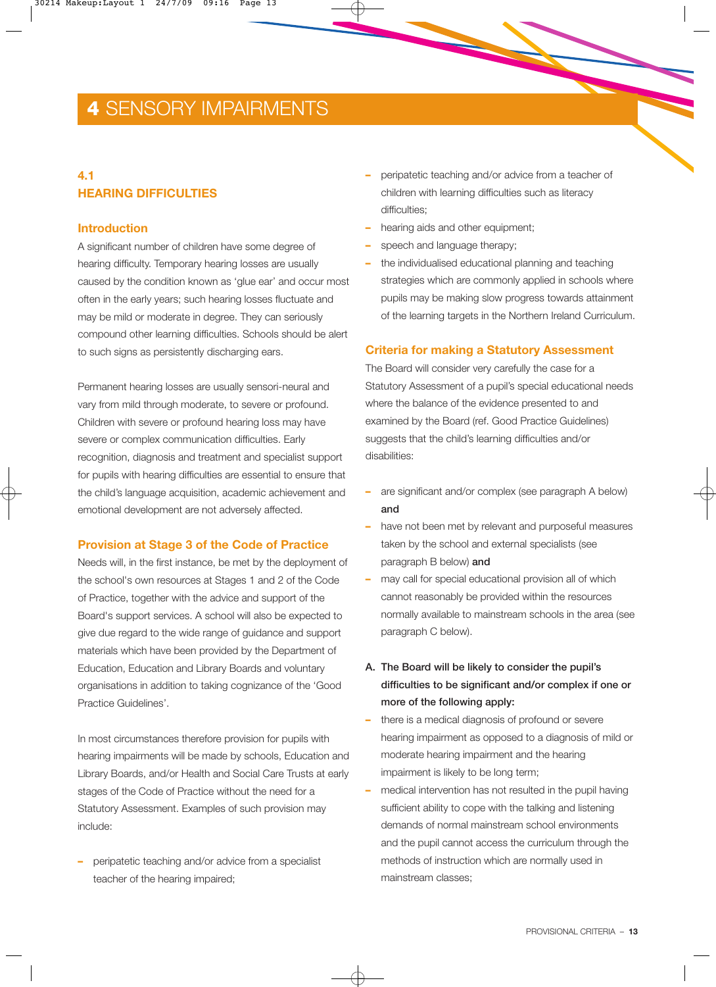## **4** SENSORY IMPAIRMENTS

### **4.1 HEARING DIFFICULTIES**

#### **Introduction**

A significant number of children have some degree of hearing difficulty. Temporary hearing losses are usually caused by the condition known as 'glue ear' and occur most often in the early years; such hearing losses fluctuate and may be mild or moderate in degree. They can seriously compound other learning difficulties. Schools should be alert to such signs as persistently discharging ears.

Permanent hearing losses are usually sensori-neural and vary from mild through moderate, to severe or profound. Children with severe or profound hearing loss may have severe or complex communication difficulties. Early recognition, diagnosis and treatment and specialist support for pupils with hearing difficulties are essential to ensure that the child's language acquisition, academic achievement and emotional development are not adversely affected.

#### **Provision at Stage 3 of the Code of Practice**

Needs will, in the first instance, be met by the deployment of the school's own resources at Stages 1 and 2 of the Code of Practice, together with the advice and support of the Board's support services. A school will also be expected to give due regard to the wide range of guidance and support materials which have been provided by the Department of Education, Education and Library Boards and voluntary organisations in addition to taking cognizance of the 'Good Practice Guidelines'.

In most circumstances therefore provision for pupils with hearing impairments will be made by schools, Education and Library Boards, and/or Health and Social Care Trusts at early stages of the Code of Practice without the need for a Statutory Assessment. Examples of such provision may include:

**–** peripatetic teaching and/or advice from a specialist teacher of the hearing impaired;

- **–** peripatetic teaching and/or advice from a teacher of children with learning difficulties such as literacy difficulties;
- **–** hearing aids and other equipment;
- **–** speech and language therapy;
- **–** the individualised educational planning and teaching strategies which are commonly applied in schools where pupils may be making slow progress towards attainment of the learning targets in the Northern Ireland Curriculum.

#### **Criteria for making a Statutory Assessment**

The Board will consider very carefully the case for a Statutory Assessment of a pupil's special educational needs where the balance of the evidence presented to and examined by the Board (ref. Good Practice Guidelines) suggests that the child's learning difficulties and/or disabilities:

- **–** are significant and/or complex (see paragraph A below) and
- **–** have not been met by relevant and purposeful measures taken by the school and external specialists (see paragraph B below) and
- **–** may call for special educational provision all of which cannot reasonably be provided within the resources normally available to mainstream schools in the area (see paragraph C below).
- A. The Board will be likely to consider the pupil's difficulties to be significant and/or complex if one or more of the following apply:
- **–** there is a medical diagnosis of profound or severe hearing impairment as opposed to a diagnosis of mild or moderate hearing impairment and the hearing impairment is likely to be long term;
- **–** medical intervention has not resulted in the pupil having sufficient ability to cope with the talking and listening demands of normal mainstream school environments and the pupil cannot access the curriculum through the methods of instruction which are normally used in mainstream classes;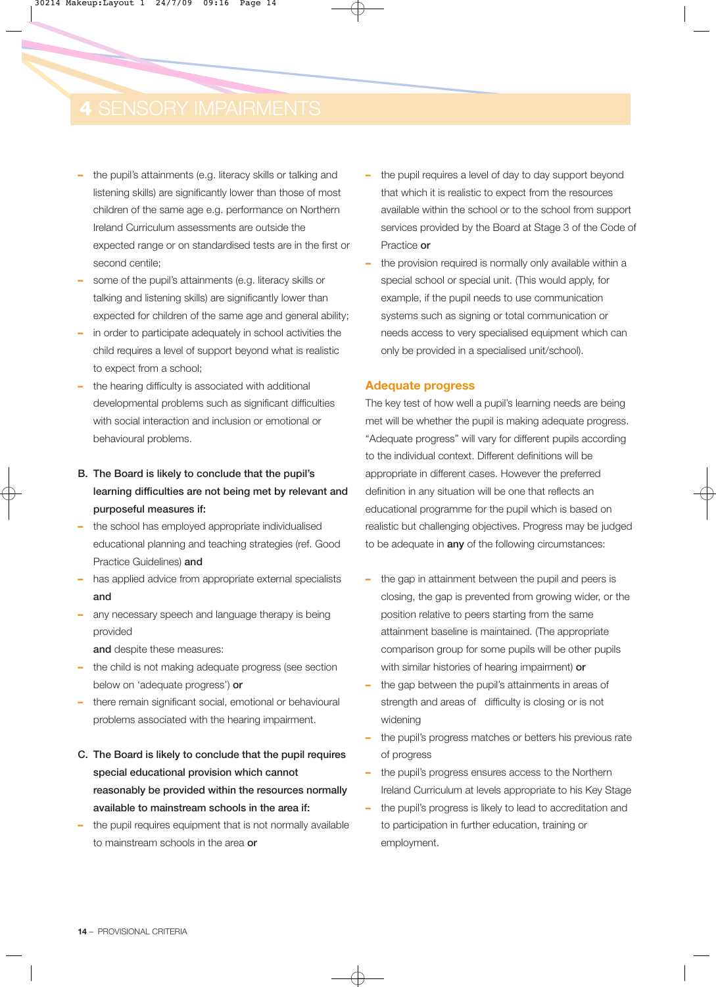- **–** the pupil's attainments (e.g. literacy skills or talking and listening skills) are significantly lower than those of most children of the same age e.g. performance on Northern Ireland Curriculum assessments are outside the expected range or on standardised tests are in the first or second centile;
- **–** some of the pupil's attainments (e.g. literacy skills or talking and listening skills) are significantly lower than expected for children of the same age and general ability;
- **–** in order to participate adequately in school activities the child requires a level of support beyond what is realistic to expect from a school;
- **–** the hearing difficulty is associated with additional developmental problems such as significant difficulties with social interaction and inclusion or emotional or behavioural problems.
- B. The Board is likely to conclude that the pupil's learning difficulties are not being met by relevant and purposeful measures if:
- **–** the school has employed appropriate individualised educational planning and teaching strategies (ref. Good Practice Guidelines) and
- **–** has applied advice from appropriate external specialists and
- **–** any necessary speech and language therapy is being provided

and despite these measures:

- **–** the child is not making adequate progress (see section below on 'adequate progress') or
- **–** there remain significant social, emotional or behavioural problems associated with the hearing impairment.
- C. The Board is likely to conclude that the pupil requires special educational provision which cannot reasonably be provided within the resources normally available to mainstream schools in the area if:
- **–** the pupil requires equipment that is not normally available to mainstream schools in the area or
- **–** the pupil requires a level of day to day support beyond that which it is realistic to expect from the resources available within the school or to the school from support services provided by the Board at Stage 3 of the Code of Practice or
- **–** the provision required is normally only available within a special school or special unit. (This would apply, for example, if the pupil needs to use communication systems such as signing or total communication or needs access to very specialised equipment which can only be provided in a specialised unit/school).

#### **Adequate progress**

The key test of how well a pupil's learning needs are being met will be whether the pupil is making adequate progress. "Adequate progress" will vary for different pupils according to the individual context. Different definitions will be appropriate in different cases. However the preferred definition in any situation will be one that reflects an educational programme for the pupil which is based on realistic but challenging objectives. Progress may be judged to be adequate in **any** of the following circumstances:

- **–** the gap in attainment between the pupil and peers is closing, the gap is prevented from growing wider, or the position relative to peers starting from the same attainment baseline is maintained. (The appropriate comparison group for some pupils will be other pupils with similar histories of hearing impairment) or
- **–** the gap between the pupil's attainments in areas of strength and areas of difficulty is closing or is not widening
- **–** the pupil's progress matches or betters his previous rate of progress
- **–** the pupil's progress ensures access to the Northern Ireland Curriculum at levels appropriate to his Key Stage
- **–** the pupil's progress is likely to lead to accreditation and to participation in further education, training or employment.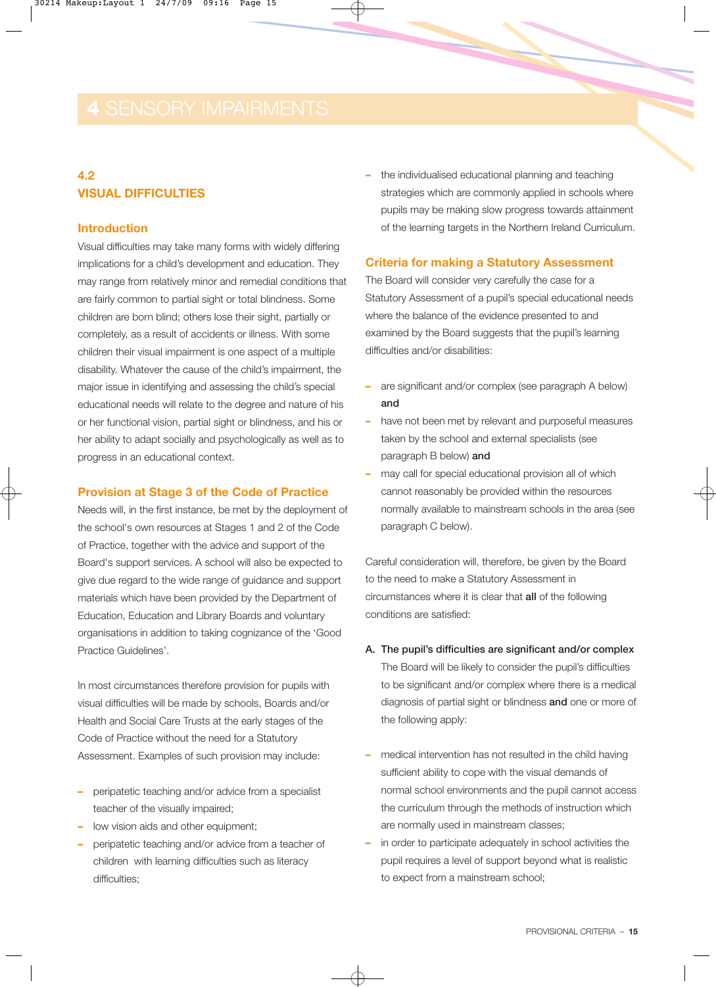### **4.2 VISUAL DIFFICULTIES**

#### **Introduction**

Visual difficulties may take many forms with widely differing implications for a child's development and education. They may range from relatively minor and remedial conditions that are fairly common to partial sight or total blindness. Some children are born blind; others lose their sight, partially or completely, as a result of accidents or illness. With some children their visual impairment is one aspect of a multiple disability. Whatever the cause of the child's impairment, the major issue in identifying and assessing the child's special educational needs will relate to the degree and nature of his or her functional vision, partial sight or blindness, and his or her ability to adapt socially and psychologically as well as to progress in an educational context.

#### **Provision at Stage 3 of the Code of Practice**

Needs will, in the first instance, be met by the deployment of the school's own resources at Stages 1 and 2 of the Code of Practice, together with the advice and support of the Board's support services. A school will also be expected to give due regard to the wide range of guidance and support materials which have been provided by the Department of Education, Education and Library Boards and voluntary organisations in addition to taking cognizance of the 'Good Practice Guidelines'.

In most circumstances therefore provision for pupils with visual difficulties will be made by schools, Boards and/or Health and Social Care Trusts at the early stages of the Code of Practice without the need for a Statutory Assessment. Examples of such provision may include:

- **–** peripatetic teaching and/or advice from a specialist teacher of the visually impaired;
- **–** low vision aids and other equipment;
- **–** peripatetic teaching and/or advice from a teacher of children with learning difficulties such as literacy difficulties:

**–** the individualised educational planning and teaching strategies which are commonly applied in schools where pupils may be making slow progress towards attainment of the learning targets in the Northern Ireland Curriculum.

#### **Criteria for making a Statutory Assessment**

The Board will consider very carefully the case for a Statutory Assessment of a pupil's special educational needs where the balance of the evidence presented to and examined by the Board suggests that the pupil's learning difficulties and/or disabilities:

- **–** are significant and/or complex (see paragraph A below) and
- **–** have not been met by relevant and purposeful measures taken by the school and external specialists (see paragraph B below) and
- **–** may call for special educational provision all of which cannot reasonably be provided within the resources normally available to mainstream schools in the area (see paragraph C below).

Careful consideration will, therefore, be given by the Board to the need to make a Statutory Assessment in circumstances where it is clear that all of the following conditions are satisfied:

A. The pupil's difficulties are significant and/or complex The Board will be likely to consider the pupil's difficulties to be significant and/or complex where there is a medical diagnosis of partial sight or blindness and one or more of

the following apply:

- **–** medical intervention has not resulted in the child having sufficient ability to cope with the visual demands of normal school environments and the pupil cannot access the curriculum through the methods of instruction which are normally used in mainstream classes;
- **–** in order to participate adequately in school activities the pupil requires a level of support beyond what is realistic to expect from a mainstream school;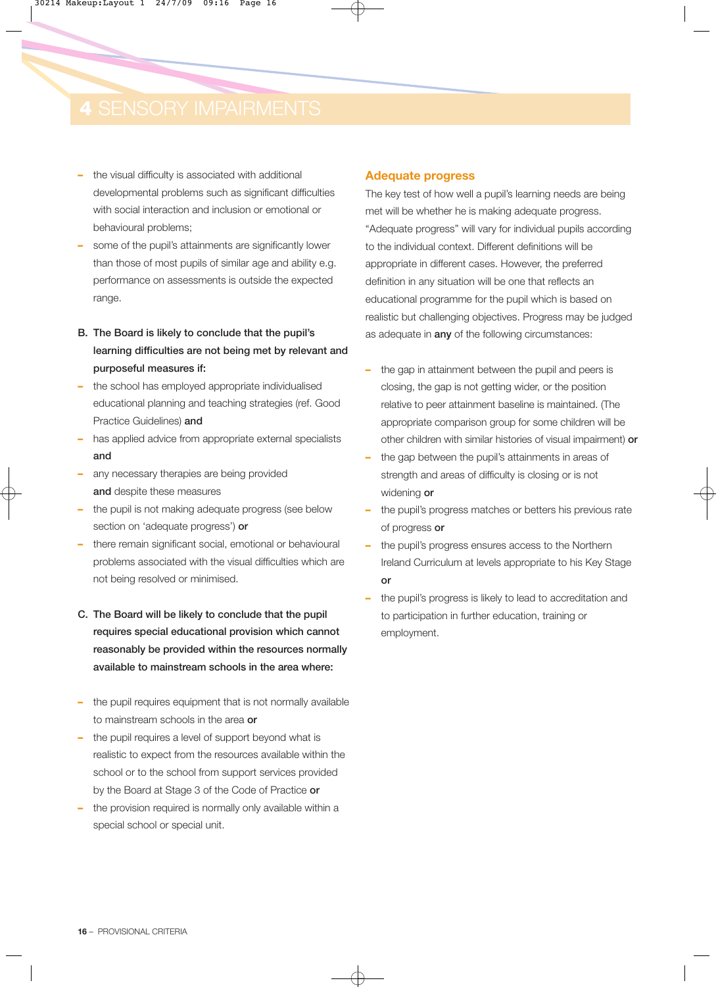- **–** the visual difficulty is associated with additional developmental problems such as significant difficulties with social interaction and inclusion or emotional or behavioural problems;
- **–** some of the pupil's attainments are significantly lower than those of most pupils of similar age and ability e.g. performance on assessments is outside the expected range.
- B. The Board is likely to conclude that the pupil's learning difficulties are not being met by relevant and purposeful measures if:
- **–** the school has employed appropriate individualised educational planning and teaching strategies (ref. Good Practice Guidelines) and
- **–** has applied advice from appropriate external specialists and
- **–** any necessary therapies are being provided and despite these measures
- **–** the pupil is not making adequate progress (see below section on 'adequate progress') or
- **–** there remain significant social, emotional or behavioural problems associated with the visual difficulties which are not being resolved or minimised.
- C. The Board will be likely to conclude that the pupil requires special educational provision which cannot reasonably be provided within the resources normally available to mainstream schools in the area where:
- **–** the pupil requires equipment that is not normally available to mainstream schools in the area or
- **–** the pupil requires a level of support beyond what is realistic to expect from the resources available within the school or to the school from support services provided by the Board at Stage 3 of the Code of Practice or
- **–** the provision required is normally only available within a special school or special unit.

#### **Adequate progress**

The key test of how well a pupil's learning needs are being met will be whether he is making adequate progress. "Adequate progress" will vary for individual pupils according to the individual context. Different definitions will be appropriate in different cases. However, the preferred definition in any situation will be one that reflects an educational programme for the pupil which is based on realistic but challenging objectives. Progress may be judged as adequate in any of the following circumstances:

- **–** the gap in attainment between the pupil and peers is closing, the gap is not getting wider, or the position relative to peer attainment baseline is maintained. (The appropriate comparison group for some children will be other children with similar histories of visual impairment) or
- **–** the gap between the pupil's attainments in areas of strength and areas of difficulty is closing or is not widening or
- **–** the pupil's progress matches or betters his previous rate of progress or
- **–** the pupil's progress ensures access to the Northern Ireland Curriculum at levels appropriate to his Key Stage or
- **–** the pupil's progress is likely to lead to accreditation and to participation in further education, training or employment.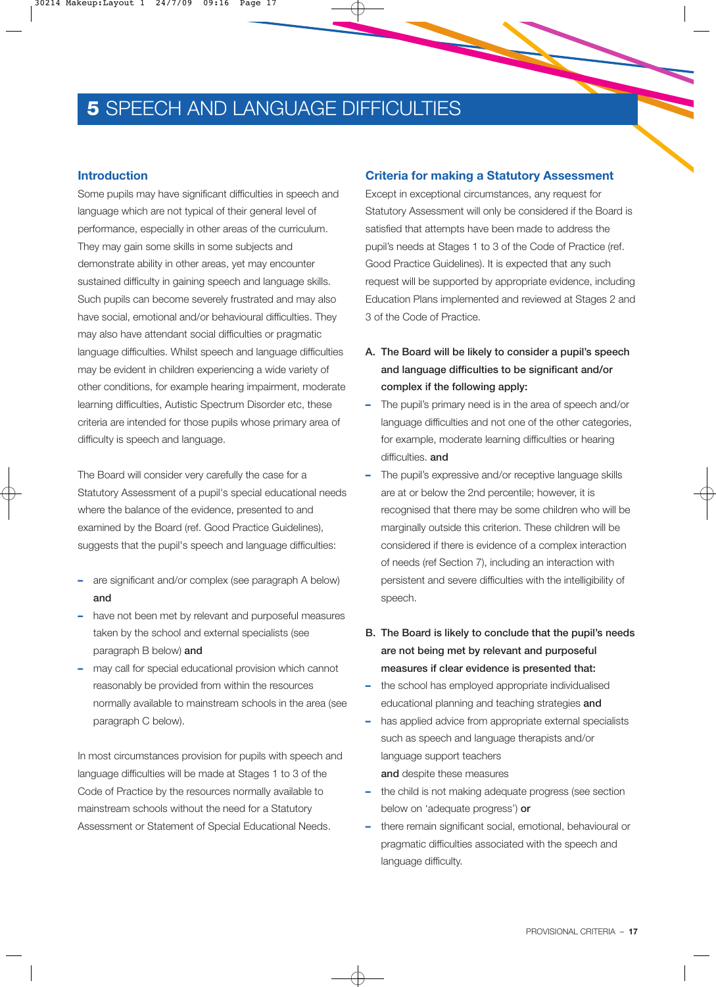## **5 SPEECH AND LANGUAGE DIFFICULTIES**

#### **Introduction**

Some pupils may have significant difficulties in speech and language which are not typical of their general level of performance, especially in other areas of the curriculum. They may gain some skills in some subjects and demonstrate ability in other areas, yet may encounter sustained difficulty in gaining speech and language skills. Such pupils can become severely frustrated and may also have social, emotional and/or behavioural difficulties. They may also have attendant social difficulties or pragmatic language difficulties. Whilst speech and language difficulties may be evident in children experiencing a wide variety of other conditions, for example hearing impairment, moderate learning difficulties, Autistic Spectrum Disorder etc, these criteria are intended for those pupils whose primary area of difficulty is speech and language.

The Board will consider very carefully the case for a Statutory Assessment of a pupil's special educational needs where the balance of the evidence, presented to and examined by the Board (ref. Good Practice Guidelines), suggests that the pupil's speech and language difficulties:

- **–** are significant and/or complex (see paragraph A below) and
- **–** have not been met by relevant and purposeful measures taken by the school and external specialists (see paragraph B below) and
- **–** may call for special educational provision which cannot reasonably be provided from within the resources normally available to mainstream schools in the area (see paragraph C below).

In most circumstances provision for pupils with speech and language difficulties will be made at Stages 1 to 3 of the Code of Practice by the resources normally available to mainstream schools without the need for a Statutory Assessment or Statement of Special Educational Needs.

#### **Criteria for making a Statutory Assessment**

Except in exceptional circumstances, any request for Statutory Assessment will only be considered if the Board is satisfied that attempts have been made to address the pupil's needs at Stages 1 to 3 of the Code of Practice (ref. Good Practice Guidelines). It is expected that any such request will be supported by appropriate evidence, including Education Plans implemented and reviewed at Stages 2 and 3 of the Code of Practice.

- A. The Board will be likely to consider a pupil's speech and language difficulties to be significant and/or complex if the following apply:
- **–** The pupil's primary need is in the area of speech and/or language difficulties and not one of the other categories, for example, moderate learning difficulties or hearing difficulties. and
- **–** The pupil's expressive and/or receptive language skills are at or below the 2nd percentile; however, it is recognised that there may be some children who will be marginally outside this criterion. These children will be considered if there is evidence of a complex interaction of needs (ref Section 7), including an interaction with persistent and severe difficulties with the intelligibility of speech.
- B. The Board is likely to conclude that the pupil's needs are not being met by relevant and purposeful measures if clear evidence is presented that:
- **–** the school has employed appropriate individualised educational planning and teaching strategies and
- **–** has applied advice from appropriate external specialists such as speech and language therapists and/or language support teachers and despite these measures
- **–** the child is not making adequate progress (see section below on 'adequate progress') or
- **–** there remain significant social, emotional, behavioural or pragmatic difficulties associated with the speech and language difficulty.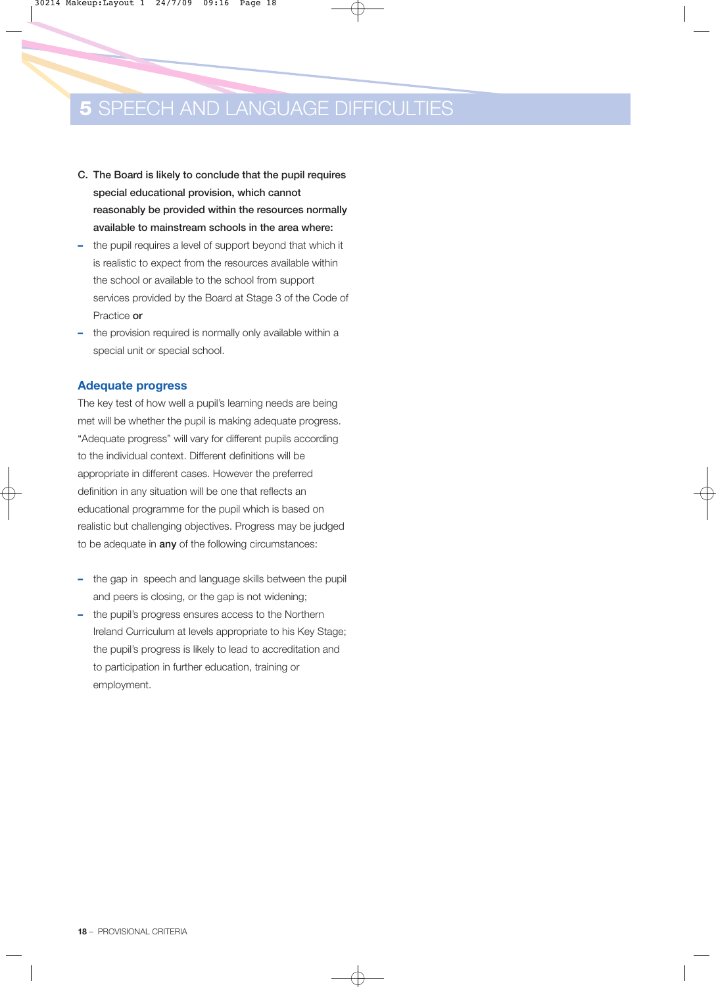## **5 SPEECH AND LANGUAGE DIFFICULTIES**

- C. The Board is likely to conclude that the pupil requires special educational provision, which cannot reasonably be provided within the resources normally available to mainstream schools in the area where:
- **–** the pupil requires a level of support beyond that which it is realistic to expect from the resources available within the school or available to the school from support services provided by the Board at Stage 3 of the Code of Practice or
- **–** the provision required is normally only available within a special unit or special school.

#### **Adequate progress**

The key test of how well a pupil's learning needs are being met will be whether the pupil is making adequate progress. "Adequate progress" will vary for different pupils according to the individual context. Different definitions will be appropriate in different cases. However the preferred definition in any situation will be one that reflects an educational programme for the pupil which is based on realistic but challenging objectives. Progress may be judged to be adequate in **any** of the following circumstances:

- **–** the gap in speech and language skills between the pupil and peers is closing, or the gap is not widening;
- **–** the pupil's progress ensures access to the Northern Ireland Curriculum at levels appropriate to his Key Stage; the pupil's progress is likely to lead to accreditation and to participation in further education, training or employment.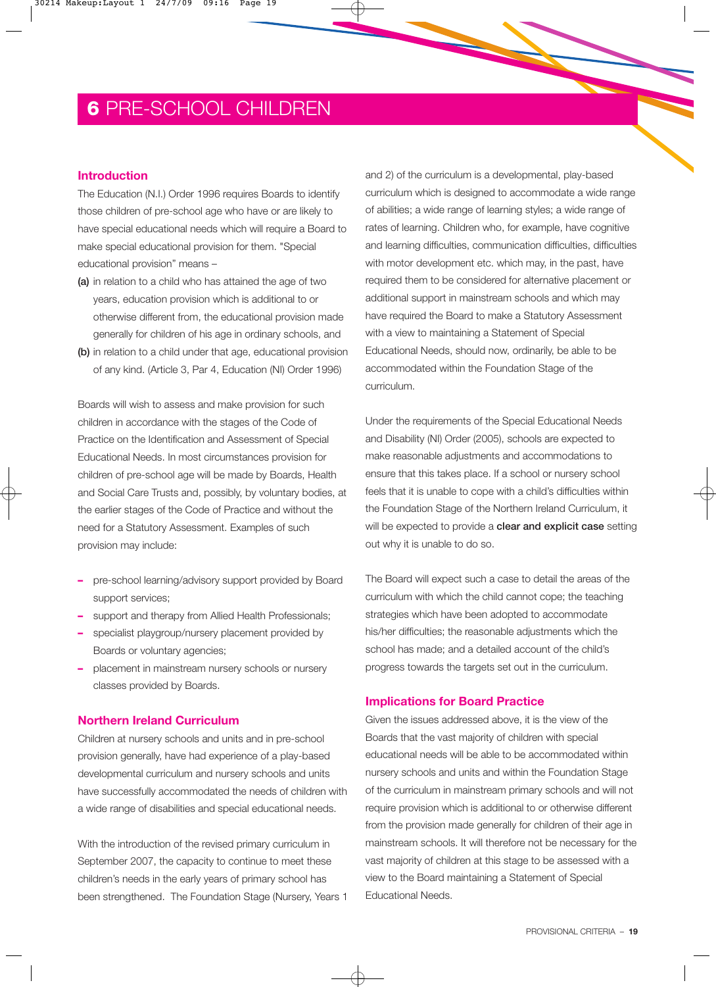## **6** PRE-SCHOOL CHILDREN

#### **Introduction**

The Education (N.I.) Order 1996 requires Boards to identify those children of pre-school age who have or are likely to have special educational needs which will require a Board to make special educational provision for them. "Special educational provision" means –

- (a) in relation to a child who has attained the age of two years, education provision which is additional to or otherwise different from, the educational provision made generally for children of his age in ordinary schools, and
- (b) in relation to a child under that age, educational provision of any kind. (Article 3, Par 4, Education (NI) Order 1996)

Boards will wish to assess and make provision for such children in accordance with the stages of the Code of Practice on the Identification and Assessment of Special Educational Needs. In most circumstances provision for children of pre-school age will be made by Boards, Health and Social Care Trusts and, possibly, by voluntary bodies, at the earlier stages of the Code of Practice and without the need for a Statutory Assessment. Examples of such provision may include:

- **–** pre-school learning/advisory support provided by Board support services;
- **–** support and therapy from Allied Health Professionals;
- **–** specialist playgroup/nursery placement provided by Boards or voluntary agencies;
- **–** placement in mainstream nursery schools or nursery classes provided by Boards.

#### **Northern Ireland Curriculum**

Children at nursery schools and units and in pre-school provision generally, have had experience of a play-based developmental curriculum and nursery schools and units have successfully accommodated the needs of children with a wide range of disabilities and special educational needs.

With the introduction of the revised primary curriculum in September 2007, the capacity to continue to meet these children's needs in the early years of primary school has been strengthened. The Foundation Stage (Nursery, Years 1 and 2) of the curriculum is a developmental, play-based curriculum which is designed to accommodate a wide range of abilities; a wide range of learning styles; a wide range of rates of learning. Children who, for example, have cognitive and learning difficulties, communication difficulties, difficulties with motor development etc. which may, in the past, have required them to be considered for alternative placement or additional support in mainstream schools and which may have required the Board to make a Statutory Assessment with a view to maintaining a Statement of Special Educational Needs, should now, ordinarily, be able to be accommodated within the Foundation Stage of the curriculum.

Under the requirements of the Special Educational Needs and Disability (NI) Order (2005), schools are expected to make reasonable adjustments and accommodations to ensure that this takes place. If a school or nursery school feels that it is unable to cope with a child's difficulties within the Foundation Stage of the Northern Ireland Curriculum, it will be expected to provide a **clear and explicit case** setting out why it is unable to do so.

The Board will expect such a case to detail the areas of the curriculum with which the child cannot cope; the teaching strategies which have been adopted to accommodate his/her difficulties; the reasonable adjustments which the school has made; and a detailed account of the child's progress towards the targets set out in the curriculum.

#### **Implications for Board Practice**

Given the issues addressed above, it is the view of the Boards that the vast majority of children with special educational needs will be able to be accommodated within nursery schools and units and within the Foundation Stage of the curriculum in mainstream primary schools and will not require provision which is additional to or otherwise different from the provision made generally for children of their age in mainstream schools. It will therefore not be necessary for the vast majority of children at this stage to be assessed with a view to the Board maintaining a Statement of Special Educational Needs.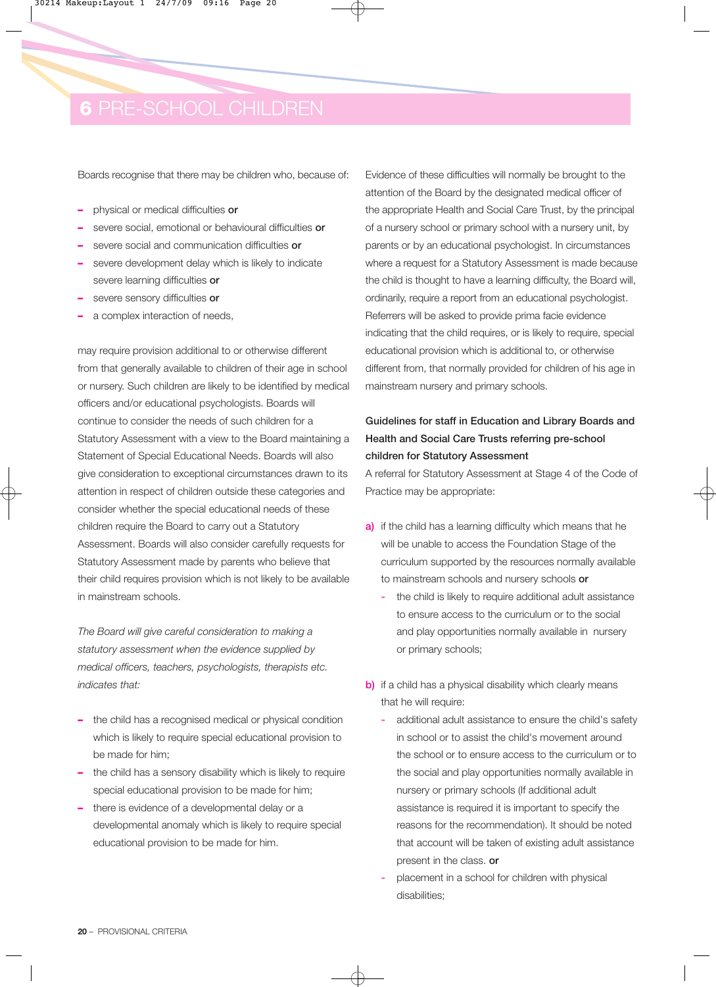## **6** PRE-SCHOOL CHILDREN

Boards recognise that there may be children who, because of:

- **–** physical or medical difficulties or
- **–** severe social, emotional or behavioural difficulties or
- **–** severe social and communication difficulties or
- **–** severe development delay which is likely to indicate severe learning difficulties or
- **–** severe sensory difficulties or
- **–** a complex interaction of needs,

may require provision additional to or otherwise different from that generally available to children of their age in school or nursery. Such children are likely to be identified by medical officers and/or educational psychologists. Boards will continue to consider the needs of such children for a Statutory Assessment with a view to the Board maintaining a Statement of Special Educational Needs. Boards will also give consideration to exceptional circumstances drawn to its attention in respect of children outside these categories and consider whether the special educational needs of these children require the Board to carry out a Statutory Assessment. Boards will also consider carefully requests for Statutory Assessment made by parents who believe that their child requires provision which is not likely to be available in mainstream schools.

*The Board will give careful consideration to making a statutory assessment when the evidence supplied by medical officers, teachers, psychologists, therapists etc. indicates that:*

- **–** the child has a recognised medical or physical condition which is likely to require special educational provision to be made for him;
- **–** the child has a sensory disability which is likely to require special educational provision to be made for him;
- **–** there is evidence of a developmental delay or a developmental anomaly which is likely to require special educational provision to be made for him.

Evidence of these difficulties will normally be brought to the attention of the Board by the designated medical officer of the appropriate Health and Social Care Trust, by the principal of a nursery school or primary school with a nursery unit, by parents or by an educational psychologist. In circumstances where a request for a Statutory Assessment is made because the child is thought to have a learning difficulty, the Board will, ordinarily, require a report from an educational psychologist. Referrers will be asked to provide prima facie evidence indicating that the child requires, or is likely to require, special educational provision which is additional to, or otherwise different from, that normally provided for children of his age in mainstream nursery and primary schools.

### Guidelines for staff in Education and Library Boards and Health and Social Care Trusts referring pre-school children for Statutory Assessment

A referral for Statutory Assessment at Stage 4 of the Code of Practice may be appropriate:

- a) if the child has a learning difficulty which means that he will be unable to access the Foundation Stage of the curriculum supported by the resources normally available to mainstream schools and nursery schools or
	- **-** the child is likely to require additional adult assistance to ensure access to the curriculum or to the social and play opportunities normally available in nursery or primary schools;
- b) if a child has a physical disability which clearly means that he will require:
	- **-** additional adult assistance to ensure the child's safety in school or to assist the child's movement around the school or to ensure access to the curriculum or to the social and play opportunities normally available in nursery or primary schools (If additional adult assistance is required it is important to specify the reasons for the recommendation). It should be noted that account will be taken of existing adult assistance present in the class. or
	- **-** placement in a school for children with physical disabilities;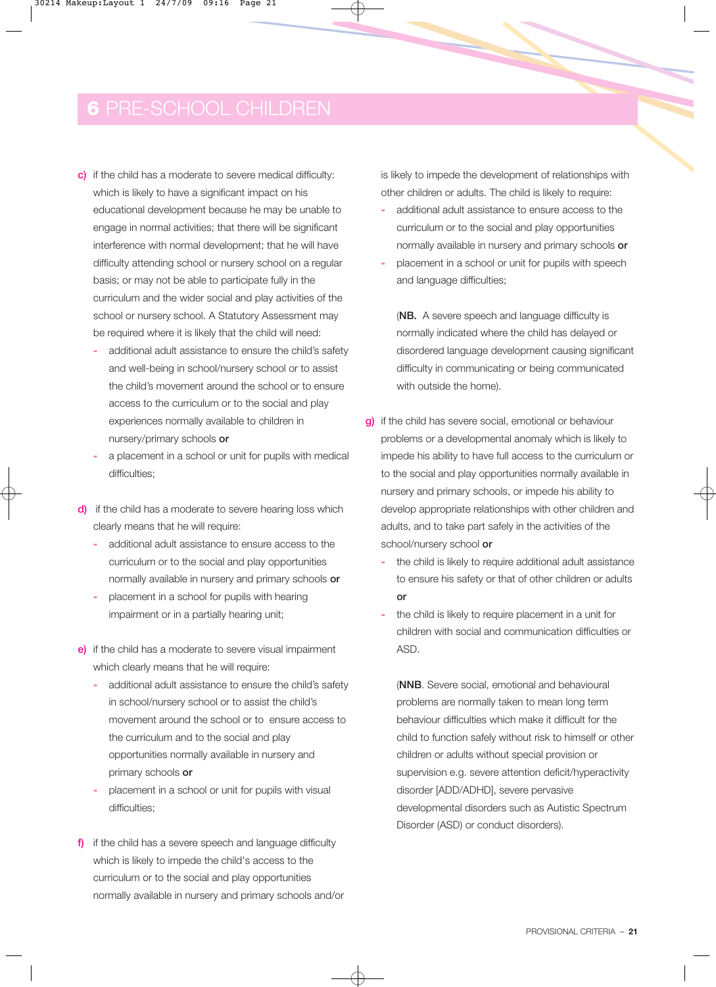## **6** PRE-SCHOOL CHILDREN

- c) if the child has a moderate to severe medical difficulty: which is likely to have a significant impact on his educational development because he may be unable to engage in normal activities; that there will be significant interference with normal development; that he will have difficulty attending school or nursery school on a regular basis; or may not be able to participate fully in the curriculum and the wider social and play activities of the school or nursery school. A Statutory Assessment may be required where it is likely that the child will need:
	- **-** additional adult assistance to ensure the child's safety and well-being in school/nursery school or to assist the child's movement around the school or to ensure access to the curriculum or to the social and play experiences normally available to children in nursery/primary schools or
	- **-** a placement in a school or unit for pupils with medical difficulties;
- d) if the child has a moderate to severe hearing loss which clearly means that he will require:
	- **-** additional adult assistance to ensure access to the curriculum or to the social and play opportunities normally available in nursery and primary schools or
	- **-** placement in a school for pupils with hearing impairment or in a partially hearing unit;
- e) if the child has a moderate to severe visual impairment which clearly means that he will require:
	- **-** additional adult assistance to ensure the child's safety in school/nursery school or to assist the child's movement around the school or to ensure access to the curriculum and to the social and play opportunities normally available in nursery and primary schools or
	- **-** placement in a school or unit for pupils with visual difficulties:
- f) if the child has a severe speech and language difficulty which is likely to impede the child's access to the curriculum or to the social and play opportunities normally available in nursery and primary schools and/or

is likely to impede the development of relationships with other children or adults. The child is likely to require:

- **-** additional adult assistance to ensure access to the curriculum or to the social and play opportunities normally available in nursery and primary schools or
- **-** placement in a school or unit for pupils with speech and language difficulties;

(NB. A severe speech and language difficulty is normally indicated where the child has delayed or disordered language development causing significant difficulty in communicating or being communicated with outside the home).

- g) if the child has severe social, emotional or behaviour problems or a developmental anomaly which is likely to impede his ability to have full access to the curriculum or to the social and play opportunities normally available in nursery and primary schools, or impede his ability to develop appropriate relationships with other children and adults, and to take part safely in the activities of the school/nursery school or
	- **-** the child is likely to require additional adult assistance to ensure his safety or that of other children or adults or
	- **-** the child is likely to require placement in a unit for children with social and communication difficulties or ASD.

(NNB. Severe social, emotional and behavioural problems are normally taken to mean long term behaviour difficulties which make it difficult for the child to function safely without risk to himself or other children or adults without special provision or supervision e.g. severe attention deficit/hyperactivity disorder [ADD/ADHD], severe pervasive developmental disorders such as Autistic Spectrum Disorder (ASD) or conduct disorders).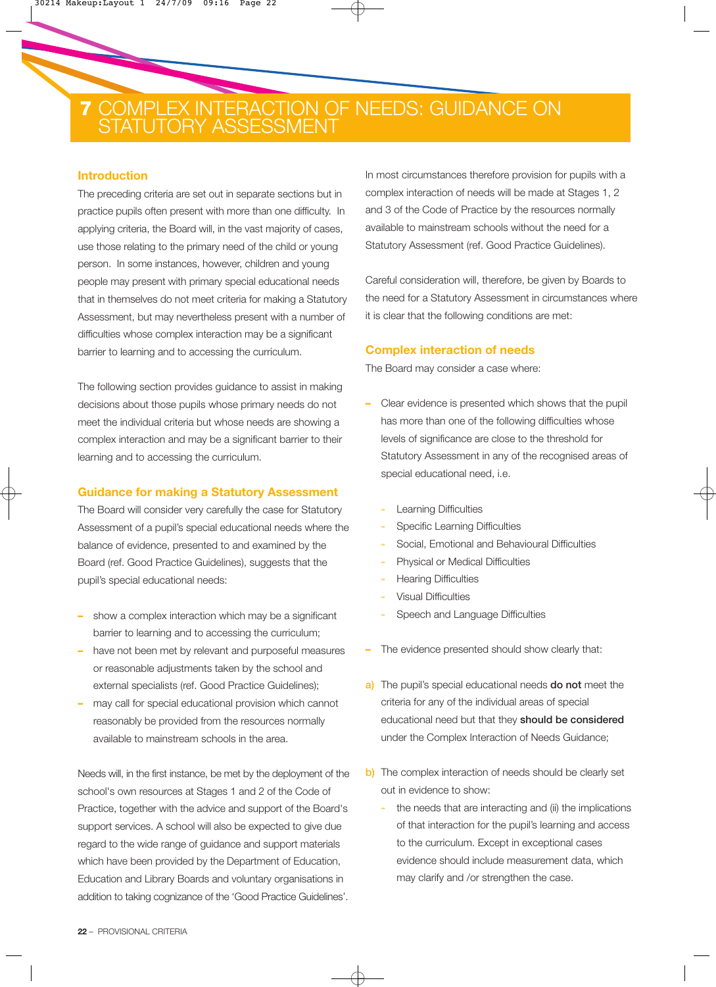## **7** COMPLEX INTERACTION OF NEEDS: GUIDANCE ON **7** STATUTORY ASSESSMENT

#### **Introduction**

The preceding criteria are set out in separate sections but in practice pupils often present with more than one difficulty. In applying criteria, the Board will, in the vast majority of cases, use those relating to the primary need of the child or young person. In some instances, however, children and young people may present with primary special educational needs that in themselves do not meet criteria for making a Statutory Assessment, but may nevertheless present with a number of difficulties whose complex interaction may be a significant barrier to learning and to accessing the curriculum.

The following section provides guidance to assist in making decisions about those pupils whose primary needs do not meet the individual criteria but whose needs are showing a complex interaction and may be a significant barrier to their learning and to accessing the curriculum.

#### **Guidance for making a Statutory Assessment**

The Board will consider very carefully the case for Statutory Assessment of a pupil's special educational needs where the balance of evidence, presented to and examined by the Board (ref. Good Practice Guidelines), suggests that the pupil's special educational needs:

- **–** show a complex interaction which may be a significant barrier to learning and to accessing the curriculum;
- **–** have not been met by relevant and purposeful measures or reasonable adjustments taken by the school and external specialists (ref. Good Practice Guidelines);
- **–** may call for special educational provision which cannot reasonably be provided from the resources normally available to mainstream schools in the area.

Needs will, in the first instance, be met by the deployment of the school's own resources at Stages 1 and 2 of the Code of Practice, together with the advice and support of the Board's support services. A school will also be expected to give due regard to the wide range of guidance and support materials which have been provided by the Department of Education, Education and Library Boards and voluntary organisations in addition to taking cognizance of the 'Good Practice Guidelines'.

In most circumstances therefore provision for pupils with a complex interaction of needs will be made at Stages 1, 2 and 3 of the Code of Practice by the resources normally available to mainstream schools without the need for a Statutory Assessment (ref. Good Practice Guidelines).

Careful consideration will, therefore, be given by Boards to the need for a Statutory Assessment in circumstances where it is clear that the following conditions are met:

#### **Complex interaction of needs**

The Board may consider a case where:

- **–** Clear evidence is presented which shows that the pupil has more than one of the following difficulties whose levels of significance are close to the threshold for Statutory Assessment in any of the recognised areas of special educational need, i.e.
	- **-** Learning Difficulties
	- **-** Specific Learning Difficulties
	- **-** Social, Emotional and Behavioural Difficulties
	- **-** Physical or Medical Difficulties
	- **-** Hearing Difficulties
	- **-** Visual Difficulties
	- **-** Speech and Language Difficulties
- **–** The evidence presented should show clearly that:
- a) The pupil's special educational needs do not meet the criteria for any of the individual areas of special educational need but that they should be considered under the Complex Interaction of Needs Guidance;
- b) The complex interaction of needs should be clearly set out in evidence to show:
	- **-** the needs that are interacting and (ii) the implications of that interaction for the pupil's learning and access to the curriculum. Except in exceptional cases evidence should include measurement data, which may clarify and /or strengthen the case.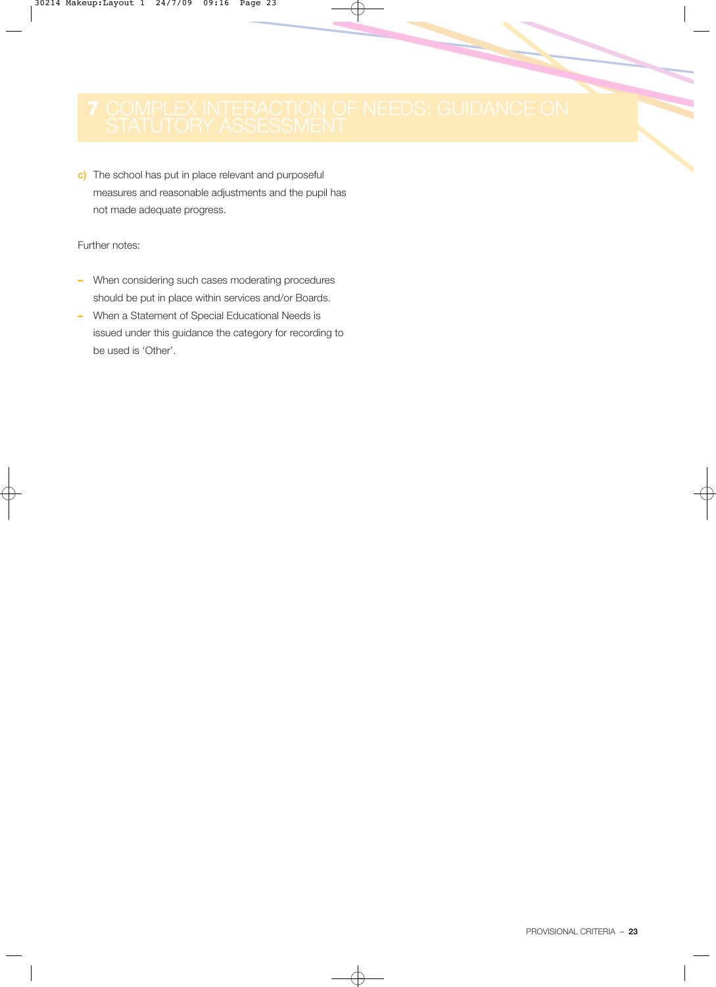c) The school has put in place relevant and purposeful measures and reasonable adjustments and the pupil has not made adequate progress.

Further notes:

- **–** When considering such cases moderating procedures should be put in place within services and/or Boards.
- **–** When a Statement of Special Educational Needs is issued under this guidance the category for recording to be used is 'Other'.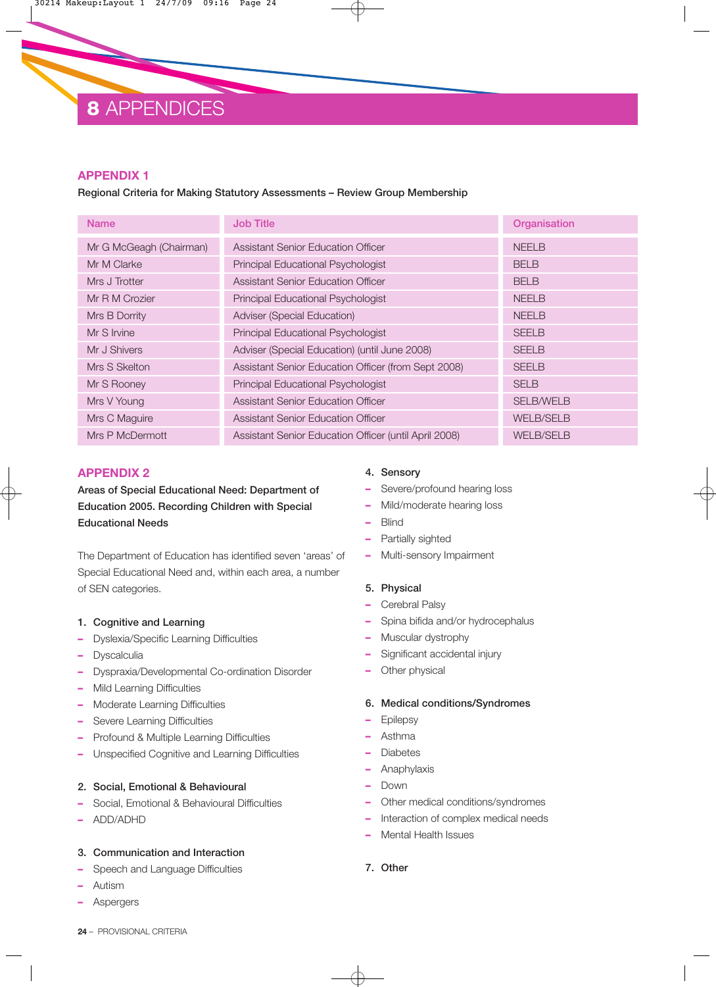## **8** APPENDICES

#### **APPENDIX 1**

#### Regional Criteria for Making Statutory Assessments – Review Group Membership

| <b>Name</b>             | <b>Job Title</b>                                      | Organisation     |
|-------------------------|-------------------------------------------------------|------------------|
| Mr G McGeagh (Chairman) | Assistant Senior Education Officer                    | <b>NEELB</b>     |
| Mr M Clarke             | Principal Educational Psychologist                    | <b>BELB</b>      |
| Mrs J Trotter           | Assistant Senior Education Officer                    | <b>BELB</b>      |
| Mr R M Crozier          | <b>Principal Educational Psychologist</b>             | <b>NEELB</b>     |
| Mrs B Dorrity           | Adviser (Special Education)                           | <b>NEELB</b>     |
| Mr S Irvine             | Principal Educational Psychologist                    | <b>SEELB</b>     |
| Mr J Shivers            | Adviser (Special Education) (until June 2008)         | <b>SEELB</b>     |
| Mrs S Skelton           | Assistant Senior Education Officer (from Sept 2008)   | <b>SEELB</b>     |
| Mr S Rooney             | Principal Educational Psychologist                    | <b>SELB</b>      |
| Mrs V Young             | <b>Assistant Senior Education Officer</b>             | <b>SELB/WELB</b> |
| Mrs C Maguire           | Assistant Senior Education Officer                    | <b>WELB/SELB</b> |
| Mrs P McDermott         | Assistant Senior Education Officer (until April 2008) | <b>WELB/SELB</b> |

### **APPENDIX 2**

Areas of Special Educational Need: Department of Education 2005. Recording Children with Special Educational Needs

The Department of Education has identified seven 'areas' of Special Educational Need and, within each area, a number of SEN categories.

#### 1. Cognitive and Learning

- **–** Dyslexia/Specific Learning Difficulties
- **–** Dyscalculia
- **–** Dyspraxia/Developmental Co-ordination Disorder
- **–** Mild Learning Difficulties
- **–** Moderate Learning Difficulties
- **–** Severe Learning Difficulties
- **–** Profound & Multiple Learning Difficulties
- **–** Unspecified Cognitive and Learning Difficulties

#### 2. Social, Emotional & Behavioural

- **–** Social, Emotional & Behavioural Difficulties
- **–** ADD/ADHD

#### 3. Communication and Interaction

- **–** Speech and Language Difficulties
- **–** Autism
- **–** Aspergers

#### 4. Sensory

- **–** Severe/profound hearing loss
- **–** Mild/moderate hearing loss
- **–** Blind
- **–** Partially sighted
- **–** Multi-sensory Impairment

#### 5. Physical

- **–** Cerebral Palsy
- **–** Spina bifida and/or hydrocephalus
- **–** Muscular dystrophy
- **–** Significant accidental injury
- **–** Other physical

#### 6. Medical conditions/Syndromes

- **–** Epilepsy
- **–** Asthma
- **–** Diabetes
- **–** Anaphylaxis
- **–** Down
- **–** Other medical conditions/syndromes
- **–** Interaction of complex medical needs
- **–** Mental Health Issues
- 7. Other

**24** – PROVISIONAL CRITERIA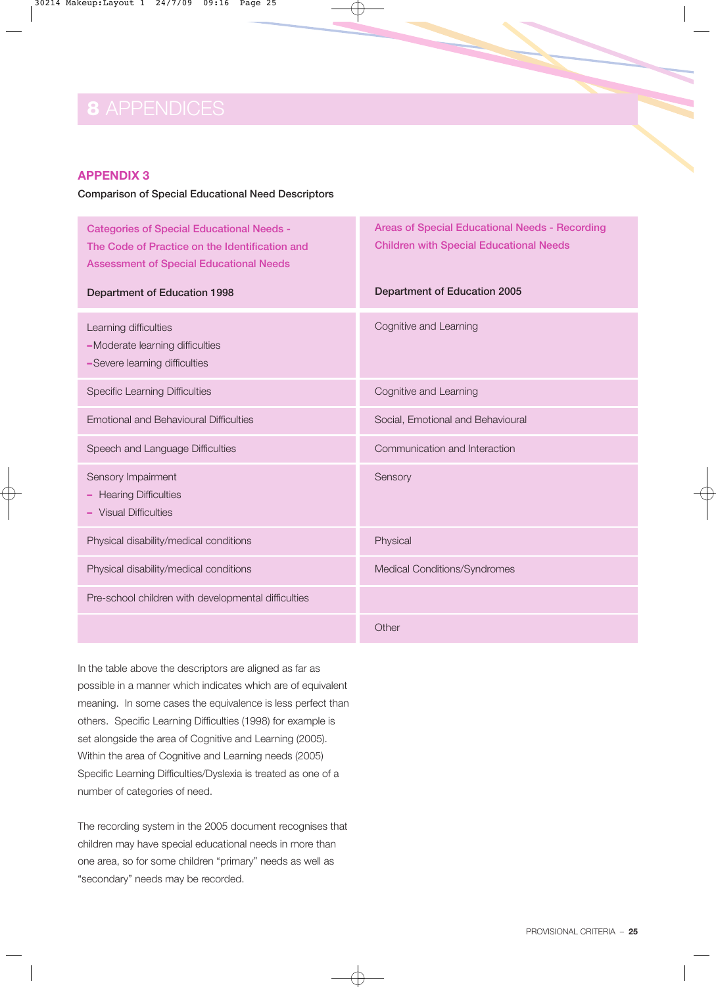## **8** APPENDICES

#### **APPENDIX 3**

#### Comparison of Special Educational Need Descriptors

Categories of Special Educational Needs - The Code of Practice on the Identification and Assessment of Special Educational Needs

Areas of Special Educational Needs - Recording Children with Special Educational Needs

| Department of Education 1998                                                              | Department of Education 2005      |  |
|-------------------------------------------------------------------------------------------|-----------------------------------|--|
| Learning difficulties<br>-Moderate learning difficulties<br>-Severe learning difficulties | Cognitive and Learning            |  |
| <b>Specific Learning Difficulties</b>                                                     | Cognitive and Learning            |  |
| <b>Emotional and Behavioural Difficulties</b>                                             | Social, Emotional and Behavioural |  |
| Speech and Language Difficulties                                                          | Communication and Interaction     |  |
| Sensory Impairment<br>- Hearing Difficulties<br>- Visual Difficulties                     | Sensory                           |  |
| Physical disability/medical conditions                                                    | Physical                          |  |
| Physical disability/medical conditions                                                    | Medical Conditions/Syndromes      |  |
| Pre-school children with developmental difficulties                                       |                                   |  |
|                                                                                           | Other                             |  |

In the table above the descriptors are aligned as far as possible in a manner which indicates which are of equivalent meaning. In some cases the equivalence is less perfect than others. Specific Learning Difficulties (1998) for example is set alongside the area of Cognitive and Learning (2005). Within the area of Cognitive and Learning needs (2005) Specific Learning Difficulties/Dyslexia is treated as one of a number of categories of need.

The recording system in the 2005 document recognises that children may have special educational needs in more than one area, so for some children "primary" needs as well as "secondary" needs may be recorded.